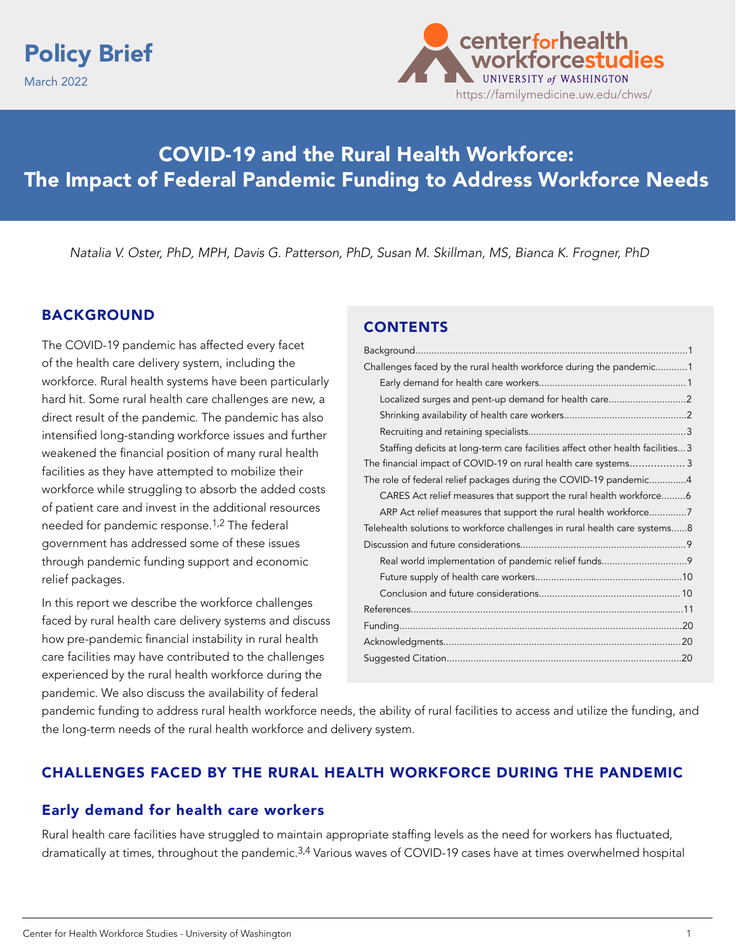



# COVID-19 and the Rural Health Workforce: The Impact of Federal Pandemic Funding to Address Workforce Needs

*Natalia V. Oster, PhD, MPH, Davis G. Patterson, PhD, Susan M. Skillman, MS, Bianca K. Frogner, PhD* 

### BACKGROUND

The COVID-19 pandemic has affected every facet of the health care delivery system, including the workforce. Rural health systems have been particularly hard hit. Some rural health care challenges are new, a direct result of the pandemic. The pandemic has also intensified long-standing workforce issues and further weakened the financial position of many rural health facilities as they have attempted to mobilize their workforce while struggling to absorb the added costs of patient care and invest in the additional resources needed for pandemic response.1,2 The federal government has addressed some of these issues through pandemic funding support and economic relief packages.

In this report we describe the workforce challenges faced by rural health care delivery systems and discuss how pre-pandemic financial instability in rural health care facilities may have contributed to the challenges experienced by the rural health workforce during the pandemic. We also discuss the availability of federal

### CONTENTS

| Challenges faced by the rural health workforce during the pandemic1             |  |
|---------------------------------------------------------------------------------|--|
|                                                                                 |  |
| Localized surges and pent-up demand for health care2                            |  |
|                                                                                 |  |
|                                                                                 |  |
| Staffing deficits at long-term care facilities affect other health facilities 3 |  |
| The financial impact of COVID-19 on rural health care systems3                  |  |
| The role of federal relief packages during the COVID-19 pandemic4               |  |
| CARES Act relief measures that support the rural health workforce6              |  |
| ARP Act relief measures that support the rural health workforce7                |  |
| Telehealth solutions to workforce challenges in rural health care systems8      |  |
|                                                                                 |  |
|                                                                                 |  |
|                                                                                 |  |
|                                                                                 |  |
|                                                                                 |  |
|                                                                                 |  |
|                                                                                 |  |
|                                                                                 |  |
|                                                                                 |  |

pandemic funding to address rural health workforce needs, the ability of rural facilities to access and utilize the funding, and the long-term needs of the rural health workforce and delivery system.

### CHALLENGES FACED BY THE RURAL HEALTH WORKFORCE DURING THE PANDEMIC

### Early demand for health care workers

Rural health care facilities have struggled to maintain appropriate staffing levels as the need for workers has fluctuated, dramatically at times, throughout the pandemic.<sup>3,4</sup> Various waves of COVID-19 cases have at times overwhelmed hospital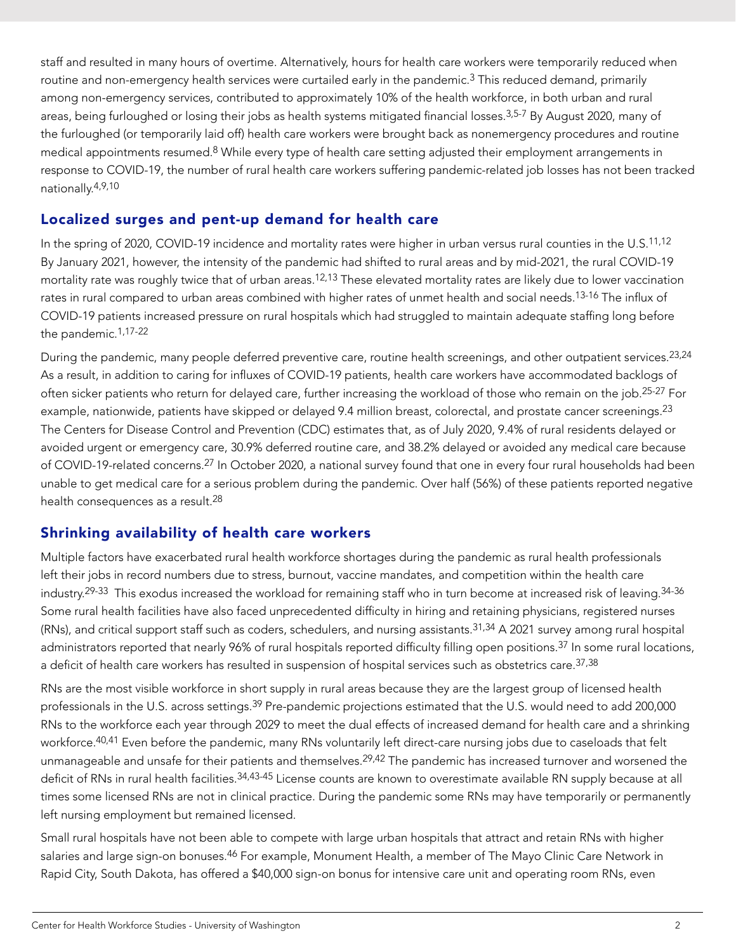<span id="page-1-0"></span>staff and resulted in many hours of overtime. Alternatively, hours for health care workers were temporarily reduced when routine and non-emergency health services were curtailed early in the pandemic.<sup>3</sup> This reduced demand, primarily among non-emergency services, contributed to approximately 10% of the health workforce, in both urban and rural areas, being furloughed or losing their jobs as health systems mitigated financial losses.<sup>3,5-7</sup> By August 2020, many of the furloughed (or temporarily laid off) health care workers were brought back as nonemergency procedures and routine medical appointments resumed.8 While every type of health care setting adjusted their employment arrangements in response to COVID-19, the number of rural health care workers suffering pandemic-related job losses has not been tracked nationally.4,9,10

## Localized surges and pent-up demand for health care

In the spring of 2020, COVID-19 incidence and mortality rates were higher in urban versus rural counties in the U.S.<sup>11,12</sup> By January 2021, however, the intensity of the pandemic had shifted to rural areas and by mid-2021, the rural COVID-19 mortality rate was roughly twice that of urban areas.<sup>12,13</sup> These elevated mortality rates are likely due to lower vaccination rates in rural compared to urban areas combined with higher rates of unmet health and social needs.<sup>13-16</sup> The influx of COVID-19 patients increased pressure on rural hospitals which had struggled to maintain adequate staffing long before the pandemic.1,17-22

During the pandemic, many people deferred preventive care, routine health screenings, and other outpatient services.<sup>23,24</sup> As a result, in addition to caring for influxes of COVID-19 patients, health care workers have accommodated backlogs of often sicker patients who return for delayed care, further increasing the workload of those who remain on the job.25-27 For example, nationwide, patients have skipped or delayed 9.4 million breast, colorectal, and prostate cancer screenings.<sup>23</sup> The Centers for Disease Control and Prevention (CDC) estimates that, as of July 2020, 9.4% of rural residents delayed or avoided urgent or emergency care, 30.9% deferred routine care, and 38.2% delayed or avoided any medical care because of COVID-19-related concerns.<sup>27</sup> In October 2020, a national survey found that one in every four rural households had been unable to get medical care for a serious problem during the pandemic. Over half (56%) of these patients reported negative health consequences as a result.28

## Shrinking availability of health care workers

Multiple factors have exacerbated rural health workforce shortages during the pandemic as rural health professionals left their jobs in record numbers due to stress, burnout, vaccine mandates, and competition within the health care industry.<sup>29-33</sup> This exodus increased the workload for remaining staff who in turn become at increased risk of leaving.<sup>34-36</sup> Some rural health facilities have also faced unprecedented difficulty in hiring and retaining physicians, registered nurses (RNs), and critical support staff such as coders, schedulers, and nursing assistants.31,34 A 2021 survey among rural hospital administrators reported that nearly 96% of rural hospitals reported difficulty filling open positions.<sup>37</sup> In some rural locations, a deficit of health care workers has resulted in suspension of hospital services such as obstetrics care.<sup>37,38</sup>

RNs are the most visible workforce in short supply in rural areas because they are the largest group of licensed health professionals in the U.S. across settings.<sup>39</sup> Pre-pandemic projections estimated that the U.S. would need to add 200,000 RNs to the workforce each year through 2029 to meet the dual effects of increased demand for health care and a shrinking workforce.<sup>40,41</sup> Even before the pandemic, many RNs voluntarily left direct-care nursing jobs due to caseloads that felt unmanageable and unsafe for their patients and themselves.<sup>29,42</sup> The pandemic has increased turnover and worsened the deficit of RNs in rural health facilities. 34,43-45 License counts are known to overestimate available RN supply because at all times some licensed RNs are not in clinical practice. During the pandemic some RNs may have temporarily or permanently left nursing employment but remained licensed.

Small rural hospitals have not been able to compete with large urban hospitals that attract and retain RNs with higher salaries and large sign-on bonuses.<sup>46</sup> For example, Monument Health, a member of The Mayo Clinic Care Network in Rapid City, South Dakota, has offered a \$40,000 sign-on bonus for intensive care unit and operating room RNs, even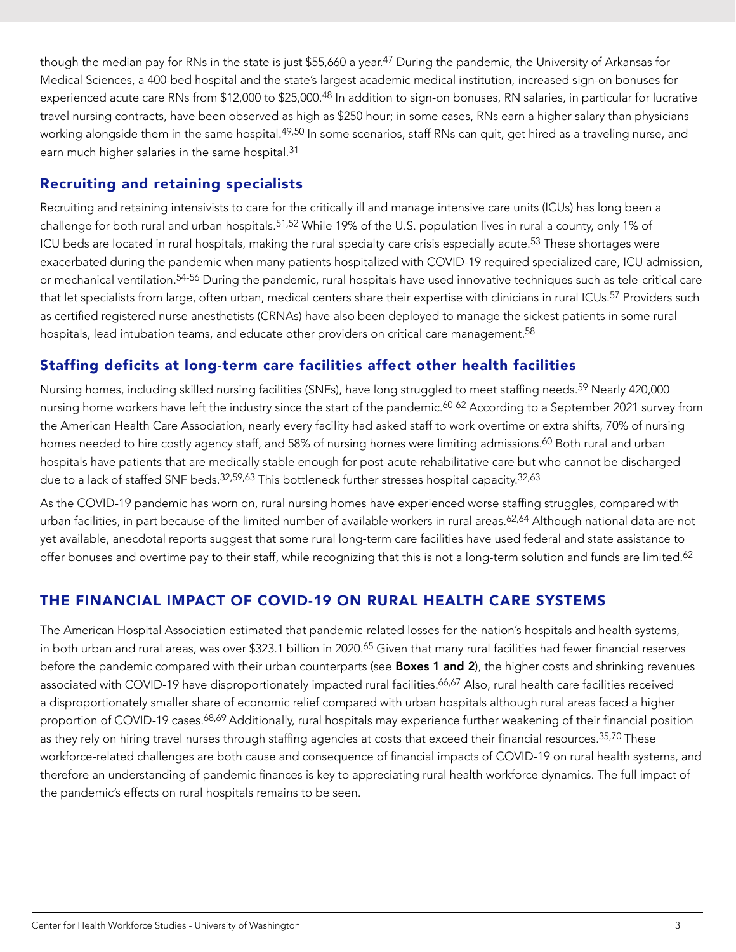<span id="page-2-0"></span>though the median pay for RNs in the state is just \$55,660 a year.<sup>47</sup> During the pandemic, the University of Arkansas for Medical Sciences, a 400-bed hospital and the state's largest academic medical institution, increased sign-on bonuses for experienced acute care RNs from \$12,000 to \$25,000.<sup>48</sup> In addition to sign-on bonuses, RN salaries, in particular for lucrative travel nursing contracts, have been observed as high as \$250 hour; in some cases, RNs earn a higher salary than physicians working alongside them in the same hospital.<sup>49,50</sup> In some scenarios, staff RNs can quit, get hired as a traveling nurse, and earn much higher salaries in the same hospital.<sup>31</sup>

## Recruiting and retaining specialists

Recruiting and retaining intensivists to care for the critically ill and manage intensive care units (ICUs) has long been a challenge for both rural and urban hospitals.<sup>51,52</sup> While 19% of the U.S. population lives in rural a county, only 1% of ICU beds are located in rural hospitals, making the rural specialty care crisis especially acute.<sup>53</sup> These shortages were exacerbated during the pandemic when many patients hospitalized with COVID-19 required specialized care, ICU admission, or mechanical ventilation.54-56 During the pandemic, rural hospitals have used innovative techniques such as tele-critical care that let specialists from large, often urban, medical centers share their expertise with clinicians in rural ICUs.<sup>57</sup> Providers such as certified registered nurse anesthetists (CRNAs) have also been deployed to manage the sickest patients in some rural hospitals, lead intubation teams, and educate other providers on critical care management.<sup>58</sup>

## Staffing deficits at long-term care facilities affect other health facilities

Nursing homes, including skilled nursing facilities (SNFs), have long struggled to meet staffing needs.59 Nearly 420,000 nursing home workers have left the industry since the start of the pandemic.<sup>60-62</sup> According to a September 2021 survey from the American Health Care Association, nearly every facility had asked staff to work overtime or extra shifts, 70% of nursing homes needed to hire costly agency staff, and 58% of nursing homes were limiting admissions.<sup>60</sup> Both rural and urban hospitals have patients that are medically stable enough for post-acute rehabilitative care but who cannot be discharged due to a lack of staffed SNF beds.<sup>32,59,63</sup> This bottleneck further stresses hospital capacity.<sup>32,63</sup>

As the COVID-19 pandemic has worn on, rural nursing homes have experienced worse staffing struggles, compared with urban facilities, in part because of the limited number of available workers in rural areas.<sup>62,64</sup> Although national data are not yet available, anecdotal reports suggest that some rural long-term care facilities have used federal and state assistance to offer bonuses and overtime pay to their staff, while recognizing that this is not a long-term solution and funds are limited.<sup>62</sup>

## THE FINANCIAL IMPACT OF COVID-19 ON RURAL HEALTH CARE SYSTEMS

The American Hospital Association estimated that pandemic-related losses for the nation's hospitals and health systems, in both urban and rural areas, was over \$323.1 billion in 2020.<sup>65</sup> Given that many rural facilities had fewer financial reserves before the pandemic compared with their urban counterparts (see **Boxes 1 and 2**), the higher costs and shrinking revenues associated with COVID-19 have disproportionately impacted rural facilities.<sup>66,67</sup> Also, rural health care facilities received a disproportionately smaller share of economic relief compared with urban hospitals although rural areas faced a higher proportion of COVID-19 cases.<sup>68,69</sup> Additionally, rural hospitals may experience further weakening of their financial position as they rely on hiring travel nurses through staffing agencies at costs that exceed their financial resources.<sup>35,70</sup> These workforce-related challenges are both cause and consequence of financial impacts of COVID-19 on rural health systems, and therefore an understanding of pandemic finances is key to appreciating rural health workforce dynamics. The full impact of the pandemic's effects on rural hospitals remains to be seen.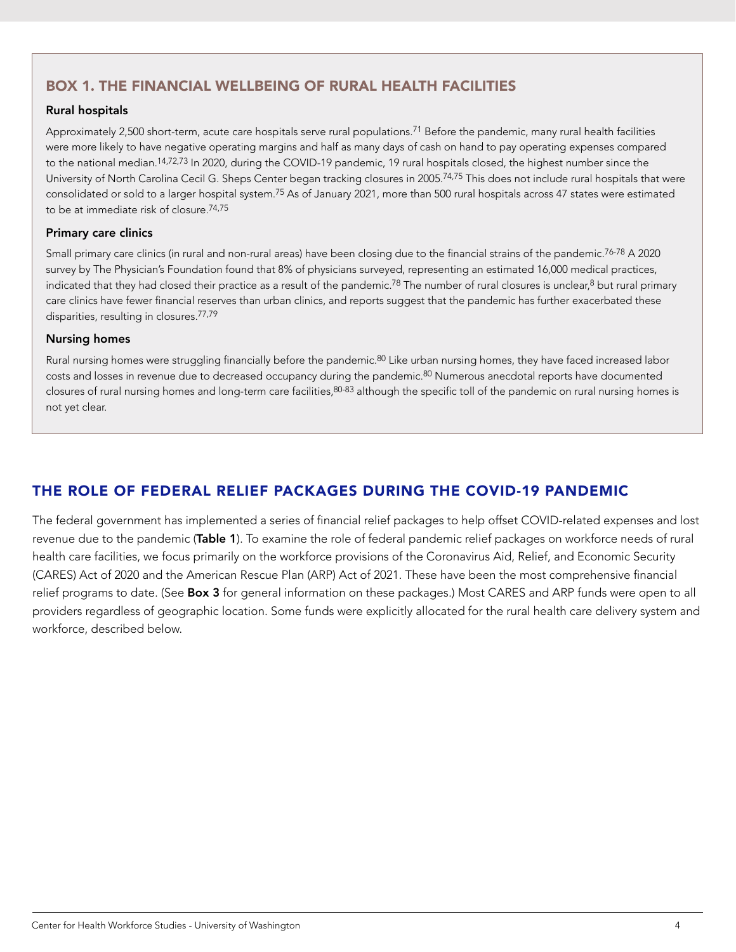## <span id="page-3-0"></span>BOX 1. THE FINANCIAL WELLBEING OF RURAL HEALTH FACILITIES

#### Rural hospitals

Approximately 2,500 short-term, acute care hospitals serve rural populations.<sup>71</sup> Before the pandemic, many rural health facilities were more likely to have negative operating margins and half as many days of cash on hand to pay operating expenses compared to the national median.14,72,73 In 2020, during the COVID-19 pandemic, 19 rural hospitals closed, the highest number since the University of North Carolina Cecil G. Sheps Center began tracking closures in 2005.74,75 This does not include rural hospitals that were consolidated or sold to a larger hospital system.75 As of January 2021, more than 500 rural hospitals across 47 states were estimated to be at immediate risk of closure.74,75

#### Primary care clinics

Small primary care clinics (in rural and non-rural areas) have been closing due to the financial strains of the pandemic.76-78 A 2020 survey by The Physician's Foundation found that 8% of physicians surveyed, representing an estimated 16,000 medical practices, indicated that they had closed their practice as a result of the pandemic.<sup>78</sup> The number of rural closures is unclear,<sup>8</sup> but rural primary care clinics have fewer financial reserves than urban clinics, and reports suggest that the pandemic has further exacerbated these disparities, resulting in closures.77,79

#### Nursing homes

Rural nursing homes were struggling financially before the pandemic.<sup>80</sup> Like urban nursing homes, they have faced increased labor costs and losses in revenue due to decreased occupancy during the pandemic.<sup>80</sup> Numerous anecdotal reports have documented closures of rural nursing homes and long-term care facilities, 80-83 although the specific toll of the pandemic on rural nursing homes is not yet clear.

## THE ROLE OF FEDERAL RELIEF PACKAGES DURING THE COVID-19 PANDEMIC

The federal government has implemented a series of financial relief packages to help offset COVID-related expenses and lost revenue due to the pandemic (Table 1). To examine the role of federal pandemic relief packages on workforce needs of rural health care facilities, we focus primarily on the workforce provisions of the Coronavirus Aid, Relief, and Economic Security (CARES) Act of 2020 and the American Rescue Plan (ARP) Act of 2021. These have been the most comprehensive financial relief programs to date. (See Box 3 for general information on these packages.) Most CARES and ARP funds were open to all providers regardless of geographic location. Some funds were explicitly allocated for the rural health care delivery system and workforce, described below.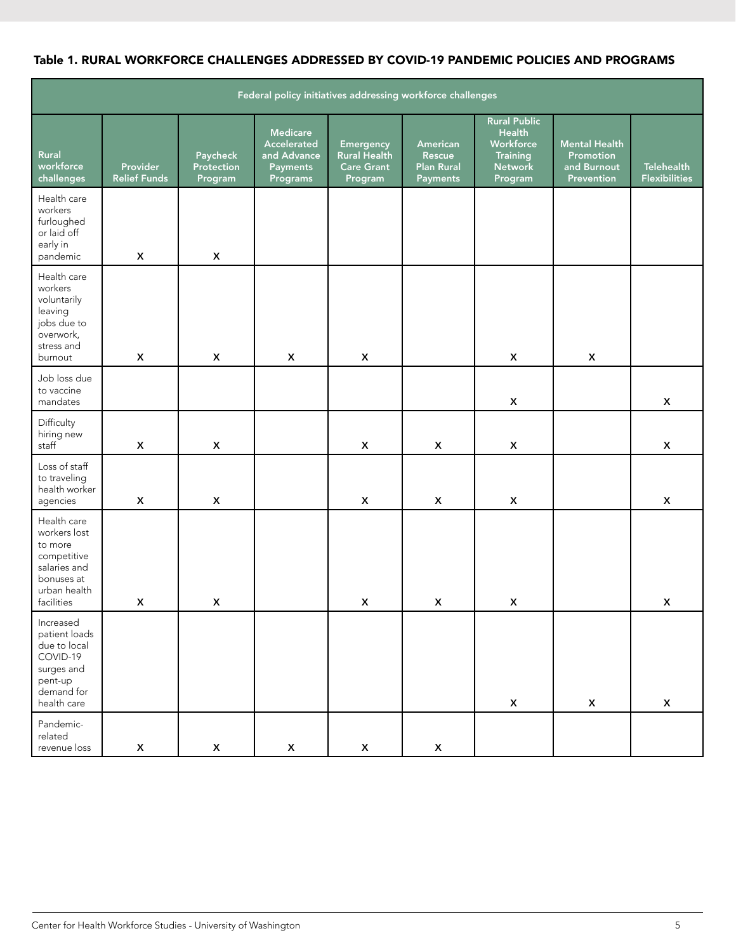### Table 1. RURAL WORKFORCE CHALLENGES ADDRESSED BY COVID-19 PANDEMIC POLICIES AND PROGRAMS

| Federal policy initiatives addressing workforce challenges                                                        |                                        |                                   |                                                                              |                                                                         |                                                     |                                                                                                   |                                                                |                                           |  |  |
|-------------------------------------------------------------------------------------------------------------------|----------------------------------------|-----------------------------------|------------------------------------------------------------------------------|-------------------------------------------------------------------------|-----------------------------------------------------|---------------------------------------------------------------------------------------------------|----------------------------------------------------------------|-------------------------------------------|--|--|
| Rural<br>workforce<br>challenges                                                                                  | <b>Provider</b><br><b>Relief Funds</b> | Paycheck<br>Protection<br>Program | <b>Medicare</b><br>Accelerated<br>and Advance<br><b>Payments</b><br>Programs | <b>Emergency</b><br><b>Rural Health</b><br><b>Care Grant</b><br>Program | American<br>Rescue<br><b>Plan Rural</b><br>Payments | <b>Rural Public</b><br><b>Health</b><br>Workforce<br><b>Training</b><br><b>Network</b><br>Program | <b>Mental Health</b><br>Promotion<br>and Burnout<br>Prevention | <b>Telehealth</b><br><b>Flexibilities</b> |  |  |
| Health care<br>workers<br>furloughed<br>or laid off<br>early in<br>pandemic                                       | X                                      | X                                 |                                                                              |                                                                         |                                                     |                                                                                                   |                                                                |                                           |  |  |
| Health care<br>workers<br>voluntarily<br>leaving<br>jobs due to<br>overwork,<br>stress and<br>burnout             | X                                      | X                                 | $\boldsymbol{\mathsf{x}}$                                                    | X                                                                       |                                                     | X                                                                                                 | $\mathsf{x}$                                                   |                                           |  |  |
| Job loss due<br>to vaccine<br>mandates                                                                            |                                        |                                   |                                                                              |                                                                         |                                                     | $\pmb{\mathsf{X}}$                                                                                |                                                                | $\mathsf{x}$                              |  |  |
| Difficulty<br>hiring new<br>staff                                                                                 | X                                      | $\mathsf{x}$                      |                                                                              | X                                                                       | X                                                   | X                                                                                                 |                                                                | X                                         |  |  |
| Loss of staff<br>to traveling<br>health worker<br>agencies                                                        | X                                      | X                                 |                                                                              | X                                                                       | X                                                   | X                                                                                                 |                                                                | $\mathsf{x}$                              |  |  |
| Health care<br>workers lost<br>to more<br>competitive<br>salaries and<br>bonuses at<br>urban health<br>facilities | X                                      | X                                 |                                                                              | X                                                                       | X                                                   | X                                                                                                 |                                                                | $\boldsymbol{\mathsf{X}}$                 |  |  |
| Increased<br>patient loads<br>due to local<br>COVID-19<br>surges and<br>pent-up<br>demand for<br>health care      |                                        |                                   |                                                                              |                                                                         |                                                     | $\pmb{\mathsf{X}}$                                                                                | $\mathsf{X}$                                                   | $\mathsf{x}$                              |  |  |
| Pandemic-<br>related<br>revenue loss                                                                              | $\pmb{\mathsf{X}}$                     | $\boldsymbol{\mathsf{X}}$         | $\pmb{\mathsf{X}}$                                                           | $\boldsymbol{\mathsf{X}}$                                               | $\mathsf X$                                         |                                                                                                   |                                                                |                                           |  |  |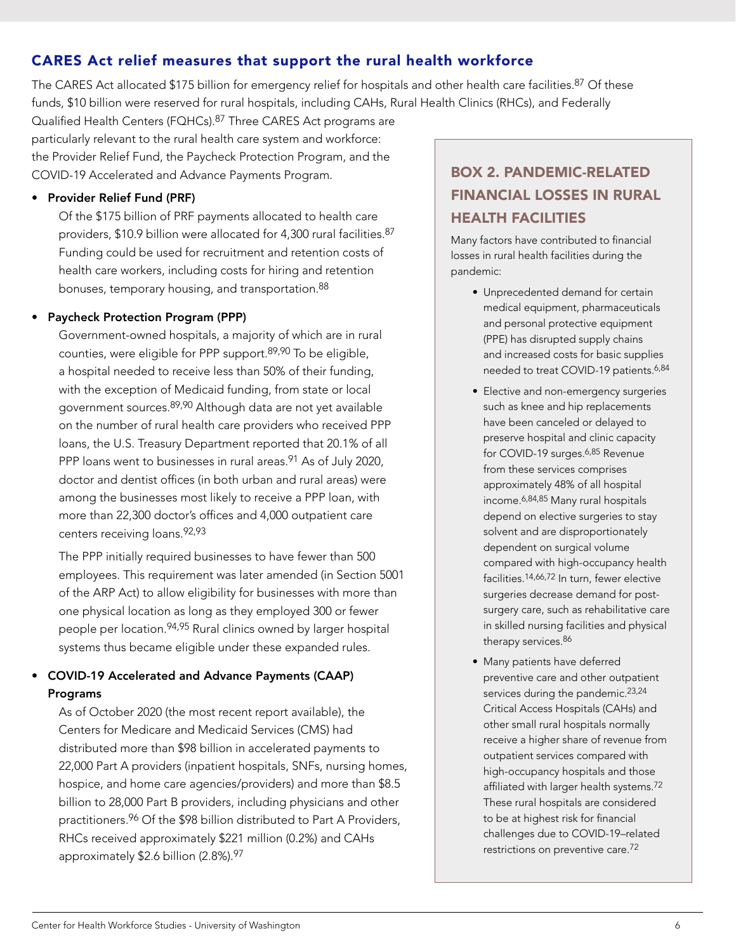## <span id="page-5-0"></span>CARES Act relief measures that support the rural health workforce

The CARES Act allocated \$175 billion for emergency relief for hospitals and other health care facilities.<sup>87</sup> Of these funds, \$10 billion were reserved for rural hospitals, including CAHs, Rural Health Clinics (RHCs), and Federally

Qualified Health Centers (FQHCs).87 Three CARES Act programs are particularly relevant to the rural health care system and workforce: the Provider Relief Fund, the Paycheck Protection Program, and the COVID-19 Accelerated and Advance Payments Program.

### • Provider Relief Fund (PRF)

Of the \$175 billion of PRF payments allocated to health care providers, \$10.9 billion were allocated for 4,300 rural facilities. 87 Funding could be used for recruitment and retention costs of health care workers, including costs for hiring and retention bonuses, temporary housing, and transportation.<sup>88</sup>

#### • Paycheck Protection Program (PPP)

Government-owned hospitals, a majority of which are in rural counties, were eligible for PPP support.89,90 To be eligible, a hospital needed to receive less than 50% of their funding, with the exception of Medicaid funding, from state or local government sources. 89,90 Although data are not yet available on the number of rural health care providers who received PPP loans, the U.S. Treasury Department reported that 20.1% of all PPP loans went to businesses in rural areas.<sup>91</sup> As of July 2020, doctor and dentist offices (in both urban and rural areas) were among the businesses most likely to receive a PPP loan, with more than 22,300 doctor's offices and 4,000 outpatient care centers receiving loans.92,93

The PPP initially required businesses to have fewer than 500 employees. This requirement was later amended (in Section 5001 of the ARP Act) to allow eligibility for businesses with more than one physical location as long as they employed 300 or fewer people per location.<sup>94,95</sup> Rural clinics owned by larger hospital systems thus became eligible under these expanded rules.

### • COVID-19 Accelerated and Advance Payments (CAAP) Programs

As of October 2020 (the most recent report available), the Centers for Medicare and Medicaid Services (CMS) had distributed more than \$98 billion in accelerated payments to 22,000 Part A providers (inpatient hospitals, SNFs, nursing homes, hospice, and home care agencies/providers) and more than \$8.5 billion to 28,000 Part B providers, including physicians and other practitioners.<sup>96</sup> Of the \$98 billion distributed to Part A Providers, RHCs received approximately \$221 million (0.2%) and CAHs approximately \$2.6 billion (2.8%).97

## BOX 2. PANDEMIC-RELATED FINANCIAL LOSSES IN RURAL HEALTH FACILITIES

Many factors have contributed to financial losses in rural health facilities during the pandemic:

- Unprecedented demand for certain medical equipment, pharmaceuticals and personal protective equipment (PPE) has disrupted supply chains and increased costs for basic supplies needed to treat COVID-19 patients.<sup>6,84</sup>
- Elective and non-emergency surgeries such as knee and hip replacements have been canceled or delayed to preserve hospital and clinic capacity for COVID-19 surges.6,85 Revenue from these services comprises approximately 48% of all hospital income.6,84,85 Many rural hospitals depend on elective surgeries to stay solvent and are disproportionately dependent on surgical volume compared with high-occupancy health facilities.14,66,72 In turn, fewer elective surgeries decrease demand for postsurgery care, such as rehabilitative care in skilled nursing facilities and physical therapy services.<sup>86</sup>
- Many patients have deferred preventive care and other outpatient services during the pandemic.<sup>23,24</sup> Critical Access Hospitals (CAHs) and other small rural hospitals normally receive a higher share of revenue from outpatient services compared with high-occupancy hospitals and those affiliated with larger health systems.72 These rural hospitals are considered to be at highest risk for financial challenges due to COVID-19–related restrictions on preventive care.72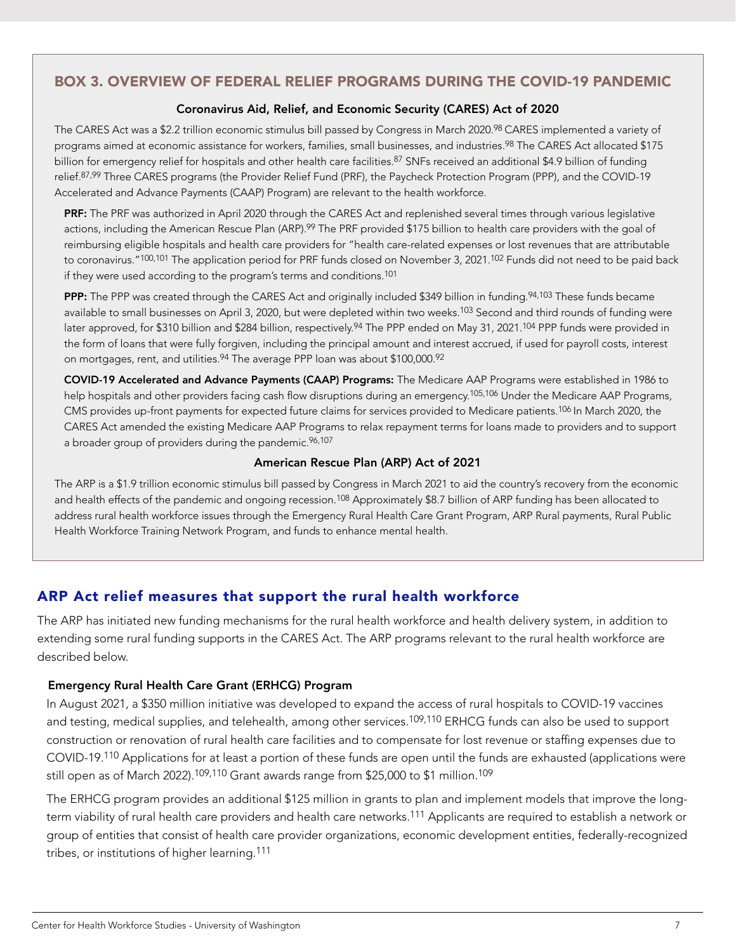### <span id="page-6-0"></span>BOX 3. OVERVIEW OF FEDERAL RELIEF PROGRAMS DURING THE COVID-19 PANDEMIC

#### Coronavirus Aid, Relief, and Economic Security (CARES) Act of 2020

The CARES Act was a \$2.2 trillion economic stimulus bill passed by Congress in March 2020.<sup>98</sup> CARES implemented a variety of programs aimed at economic assistance for workers, families, small businesses, and industries.<sup>98</sup> The CARES Act allocated \$175 billion for emergency relief for hospitals and other health care facilities.<sup>87</sup> SNFs received an additional \$4.9 billion of funding relief.87,99 Three CARES programs (the Provider Relief Fund (PRF), the Paycheck Protection Program (PPP), and the COVID-19 Accelerated and Advance Payments (CAAP) Program) are relevant to the health workforce.

PRF: The PRF was authorized in April 2020 through the CARES Act and replenished several times through various legislative actions, including the American Rescue Plan (ARP).<sup>99</sup> The PRF provided \$175 billion to health care providers with the goal of reimbursing eligible hospitals and health care providers for "health care-related expenses or lost revenues that are attributable to coronavirus."<sup>100,101</sup> The application period for PRF funds closed on November 3, 2021.<sup>102</sup> Funds did not need to be paid back if they were used according to the program's terms and conditions.<sup>101</sup>

PPP: The PPP was created through the CARES Act and originally included \$349 billion in funding.<sup>94,103</sup> These funds became available to small businesses on April 3, 2020, but were depleted within two weeks.<sup>103</sup> Second and third rounds of funding were later approved, for \$310 billion and \$284 billion, respectively.<sup>94</sup> The PPP ended on May 31, 2021.<sup>104</sup> PPP funds were provided in the form of loans that were fully forgiven, including the principal amount and interest accrued, if used for payroll costs, interest on mortgages, rent, and utilities.<sup>94</sup> The average PPP loan was about \$100,000.92

 COVID-19 Accelerated and Advance Payments (CAAP) Programs: The Medicare AAP Programs were established in 1986 to help hospitals and other providers facing cash flow disruptions during an emergency.<sup>105,106</sup> Under the Medicare AAP Programs, CMS provides up-front payments for expected future claims for services provided to Medicare patients.106 In March 2020, the CARES Act amended the existing Medicare AAP Programs to relax repayment terms for loans made to providers and to support a broader group of providers during the pandemic. 96,107

#### American Rescue Plan (ARP) Act of 2021

The ARP is a \$1.9 trillion economic stimulus bill passed by Congress in March 2021 to aid the country's recovery from the economic and health effects of the pandemic and ongoing recession.<sup>108</sup> Approximately \$8.7 billion of ARP funding has been allocated to address rural health workforce issues through the Emergency Rural Health Care Grant Program, ARP Rural payments, Rural Public Health Workforce Training Network Program, and funds to enhance mental health.

## ARP Act relief measures that support the rural health workforce

The ARP has initiated new funding mechanisms for the rural health workforce and health delivery system, in addition to extending some rural funding supports in the CARES Act. The ARP programs relevant to the rural health workforce are described below.

### Emergency Rural Health Care Grant (ERHCG) Program

 In August 2021, a \$350 million initiative was developed to expand the access of rural hospitals to COVID-19 vaccines and testing, medical supplies, and telehealth, among other services.<sup>109,110</sup> ERHCG funds can also be used to support construction or renovation of rural health care facilities and to compensate for lost revenue or staffing expenses due to COVID-19.110 Applications for at least a portion of these funds are open until the funds are exhausted (applications were still open as of March 2022).<sup>109,110</sup> Grant awards range from \$25,000 to \$1 million.<sup>109</sup>

 The ERHCG program provides an additional \$125 million in grants to plan and implement models that improve the longterm viability of rural health care providers and health care networks.111 Applicants are required to establish a network or group of entities that consist of health care provider organizations, economic development entities, federally-recognized tribes, or institutions of higher learning.111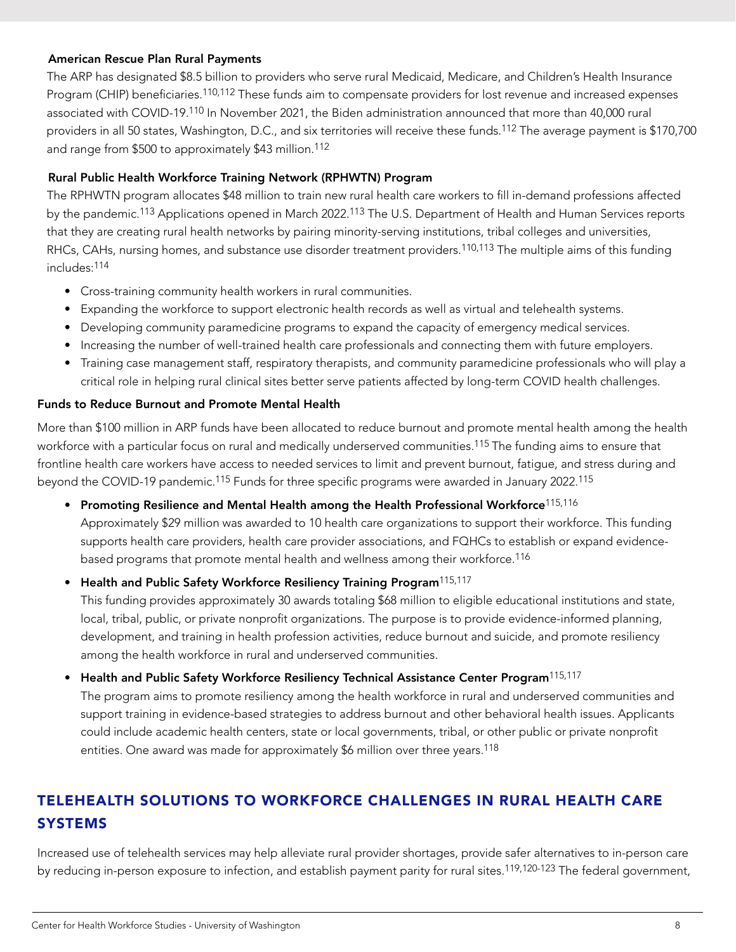### <span id="page-7-0"></span>American Rescue Plan Rural Payments

 The ARP has designated \$8.5 billion to providers who serve rural Medicaid, Medicare, and Children's Health Insurance Program (CHIP) beneficiaries.<sup>110,112</sup> These funds aim to compensate providers for lost revenue and increased expenses associated with COVID-19.110 In November 2021, the Biden administration announced that more than 40,000 rural providers in all 50 states, Washington, D.C., and six territories will receive these funds.112 The average payment is \$170,700 and range from \$500 to approximately \$43 million.112

### Rural Public Health Workforce Training Network (RPHWTN) Program

 The RPHWTN program allocates \$48 million to train new rural health care workers to fill in-demand professions affected by the pandemic.113 Applications opened in March 2022.113 The U.S. Department of Health and Human Services reports that they are creating rural health networks by pairing minority-serving institutions, tribal colleges and universities, RHCs, CAHs, nursing homes, and substance use disorder treatment providers.<sup>110,113</sup> The multiple aims of this funding includes:114

- Cross-training community health workers in rural communities.
- Expanding the workforce to support electronic health records as well as virtual and telehealth systems.
- Developing community paramedicine programs to expand the capacity of emergency medical services.
- Increasing the number of well-trained health care professionals and connecting them with future employers.
- Training case management staff, respiratory therapists, and community paramedicine professionals who will play a critical role in helping rural clinical sites better serve patients affected by long-term COVID health challenges.

#### Funds to Reduce Burnout and Promote Mental Health

More than \$100 million in ARP funds have been allocated to reduce burnout and promote mental health among the health workforce with a particular focus on rural and medically underserved communities.<sup>115</sup> The funding aims to ensure that frontline health care workers have access to needed services to limit and prevent burnout, fatigue, and stress during and beyond the COVID-19 pandemic.115 Funds for three specific programs were awarded in January 2022.115

• Promoting Resilience and Mental Health among the Health Professional Workforce<sup>115,116</sup> Approximately \$29 million was awarded to 10 health care organizations to support their workforce. This funding supports health care providers, health care provider associations, and FQHCs to establish or expand evidencebased programs that promote mental health and wellness among their workforce.116

#### • Health and Public Safety Workforce Resiliency Training Program<sup>115,117</sup>

 This funding provides approximately 30 awards totaling \$68 million to eligible educational institutions and state, local, tribal, public, or private nonprofit organizations. The purpose is to provide evidence-informed planning, development, and training in health profession activities, reduce burnout and suicide, and promote resiliency among the health workforce in rural and underserved communities.

• Health and Public Safety Workforce Resiliency Technical Assistance Center Program<sup>115,117</sup> The program aims to promote resiliency among the health workforce in rural and underserved communities and support training in evidence-based strategies to address burnout and other behavioral health issues. Applicants could include academic health centers, state or local governments, tribal, or other public or private nonprofit entities. One award was made for approximately \$6 million over three years.<sup>118</sup>

## TELEHEALTH SOLUTIONS TO WORKFORCE CHALLENGES IN RURAL HEALTH CARE **SYSTEMS**

Increased use of telehealth services may help alleviate rural provider shortages, provide safer alternatives to in-person care by reducing in-person exposure to infection, and establish payment parity for rural sites.<sup>119,120-123</sup> The federal government,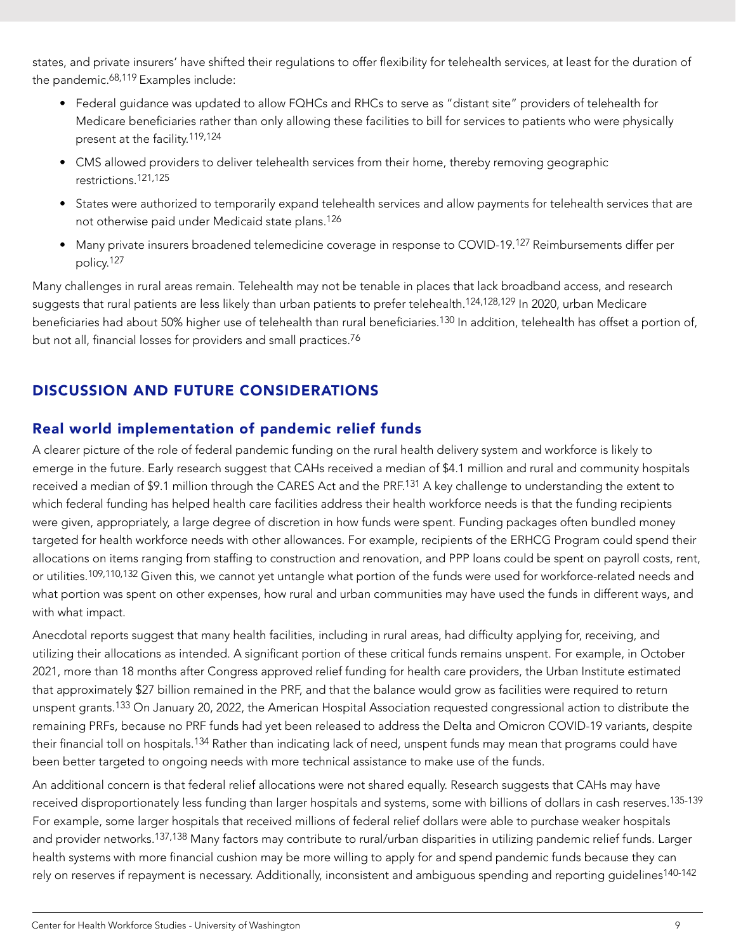<span id="page-8-0"></span>states, and private insurers' have shifted their regulations to offer flexibility for telehealth services, at least for the duration of the pandemic.<sup>68,119</sup> Examples include:

- Federal guidance was updated to allow FQHCs and RHCs to serve as "distant site" providers of telehealth for Medicare beneficiaries rather than only allowing these facilities to bill for services to patients who were physically present at the facility.119,124
- CMS allowed providers to deliver telehealth services from their home, thereby removing geographic restrictions.121,125
- States were authorized to temporarily expand telehealth services and allow payments for telehealth services that are not otherwise paid under Medicaid state plans.126
- Many private insurers broadened telemedicine coverage in response to COVID-19.<sup>127</sup> Reimbursements differ per policy.127

Many challenges in rural areas remain. Telehealth may not be tenable in places that lack broadband access, and research suggests that rural patients are less likely than urban patients to prefer telehealth.<sup>124,128,129</sup> In 2020, urban Medicare beneficiaries had about 50% higher use of telehealth than rural beneficiaries.<sup>130</sup> In addition, telehealth has offset a portion of, but not all, financial losses for providers and small practices.76

## DISCUSSION AND FUTURE CONSIDERATIONS

## Real world implementation of pandemic relief funds

A clearer picture of the role of federal pandemic funding on the rural health delivery system and workforce is likely to emerge in the future. Early research suggest that CAHs received a median of \$4.1 million and rural and community hospitals received a median of \$9.1 million through the CARES Act and the PRF.<sup>131</sup> A key challenge to understanding the extent to which federal funding has helped health care facilities address their health workforce needs is that the funding recipients were given, appropriately, a large degree of discretion in how funds were spent. Funding packages often bundled money targeted for health workforce needs with other allowances. For example, recipients of the ERHCG Program could spend their allocations on items ranging from staffing to construction and renovation, and PPP loans could be spent on payroll costs, rent, or utilities.109,110,132 Given this, we cannot yet untangle what portion of the funds were used for workforce-related needs and what portion was spent on other expenses, how rural and urban communities may have used the funds in different ways, and with what impact.

Anecdotal reports suggest that many health facilities, including in rural areas, had difficulty applying for, receiving, and utilizing their allocations as intended. A significant portion of these critical funds remains unspent. For example, in October 2021, more than 18 months after Congress approved relief funding for health care providers, the Urban Institute estimated that approximately \$27 billion remained in the PRF, and that the balance would grow as facilities were required to return unspent grants.133 On January 20, 2022, the American Hospital Association requested congressional action to distribute the remaining PRFs, because no PRF funds had yet been released to address the Delta and Omicron COVID-19 variants, despite their financial toll on hospitals.<sup>134</sup> Rather than indicating lack of need, unspent funds may mean that programs could have been better targeted to ongoing needs with more technical assistance to make use of the funds.

An additional concern is that federal relief allocations were not shared equally. Research suggests that CAHs may have received disproportionately less funding than larger hospitals and systems, some with billions of dollars in cash reserves.<sup>135-139</sup> For example, some larger hospitals that received millions of federal relief dollars were able to purchase weaker hospitals and provider networks.<sup>137,138</sup> Many factors may contribute to rural/urban disparities in utilizing pandemic relief funds. Larger health systems with more financial cushion may be more willing to apply for and spend pandemic funds because they can rely on reserves if repayment is necessary. Additionally, inconsistent and ambiguous spending and reporting guidelines<sup>140-142</sup>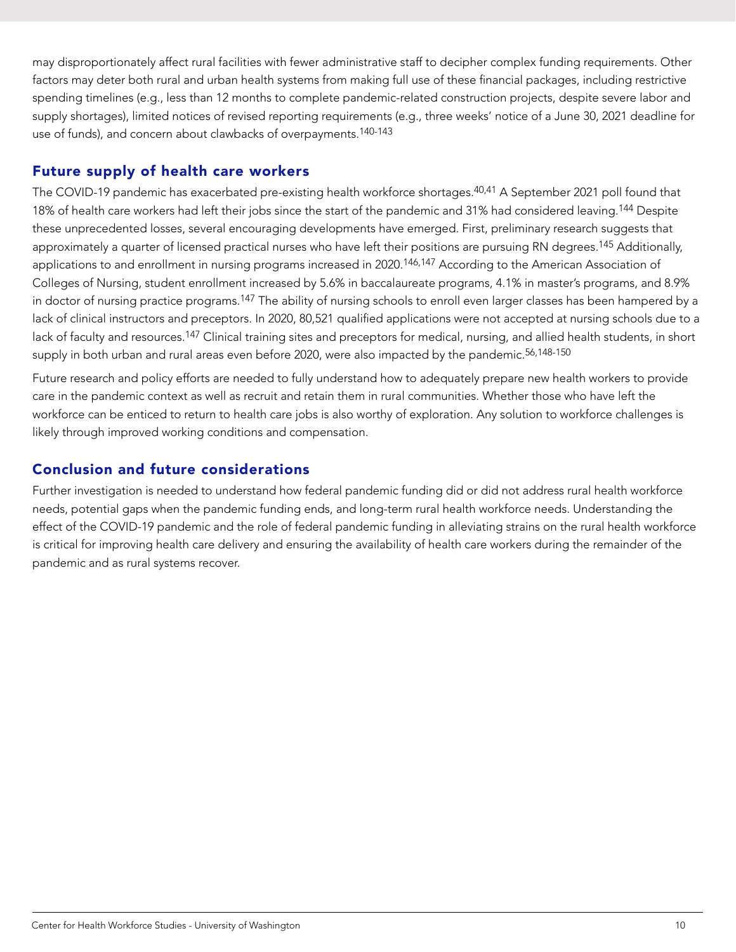<span id="page-9-0"></span>may disproportionately affect rural facilities with fewer administrative staff to decipher complex funding requirements. Other factors may deter both rural and urban health systems from making full use of these financial packages, including restrictive spending timelines (e.g., less than 12 months to complete pandemic-related construction projects, despite severe labor and supply shortages), limited notices of revised reporting requirements (e.g., three weeks' notice of a June 30, 2021 deadline for use of funds), and concern about clawbacks of overpayments.140-143

## Future supply of health care workers

The COVID-19 pandemic has exacerbated pre-existing health workforce shortages.<sup>40,41</sup> A September 2021 poll found that 18% of health care workers had left their jobs since the start of the pandemic and 31% had considered leaving.<sup>144</sup> Despite these unprecedented losses, several encouraging developments have emerged. First, preliminary research suggests that approximately a quarter of licensed practical nurses who have left their positions are pursuing RN degrees.<sup>145</sup> Additionally, applications to and enrollment in nursing programs increased in 2020.<sup>146,147</sup> According to the American Association of Colleges of Nursing, student enrollment increased by 5.6% in baccalaureate programs, 4.1% in master's programs, and 8.9% in doctor of nursing practice programs.<sup>147</sup> The ability of nursing schools to enroll even larger classes has been hampered by a lack of clinical instructors and preceptors. In 2020, 80,521 qualified applications were not accepted at nursing schools due to a lack of faculty and resources.<sup>147</sup> Clinical training sites and preceptors for medical, nursing, and allied health students, in short supply in both urban and rural areas even before 2020, were also impacted by the pandemic.<sup>56,148-150</sup>

Future research and policy efforts are needed to fully understand how to adequately prepare new health workers to provide care in the pandemic context as well as recruit and retain them in rural communities. Whether those who have left the workforce can be enticed to return to health care jobs is also worthy of exploration. Any solution to workforce challenges is likely through improved working conditions and compensation.

## Conclusion and future considerations

Further investigation is needed to understand how federal pandemic funding did or did not address rural health workforce needs, potential gaps when the pandemic funding ends, and long-term rural health workforce needs. Understanding the effect of the COVID-19 pandemic and the role of federal pandemic funding in alleviating strains on the rural health workforce is critical for improving health care delivery and ensuring the availability of health care workers during the remainder of the pandemic and as rural systems recover.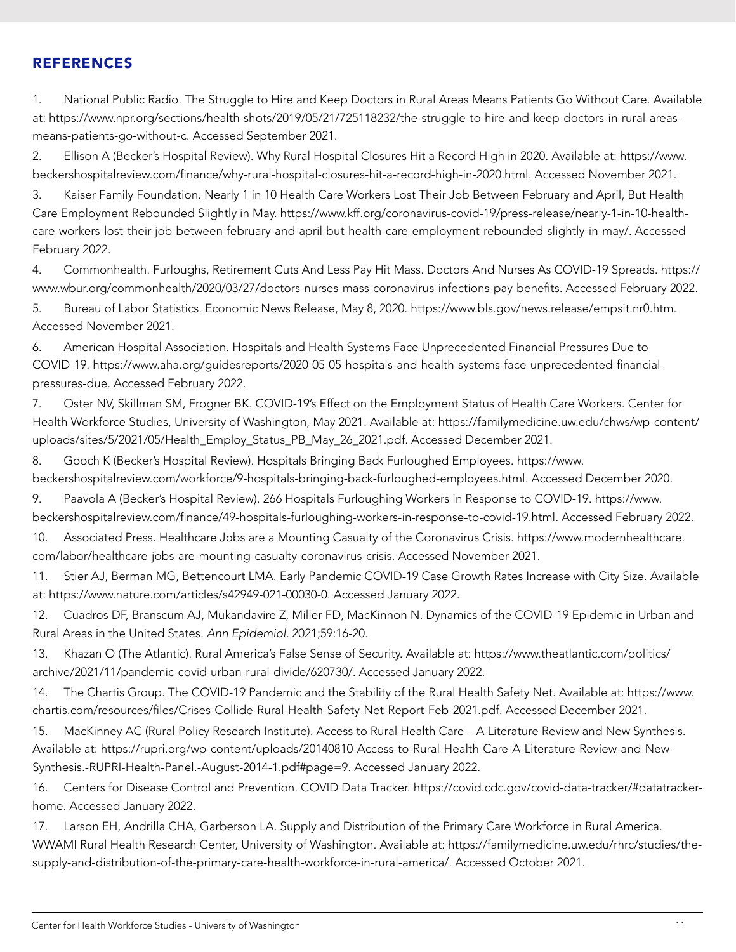### <span id="page-10-0"></span>**REFERENCES**

1. National Public Radio. The Struggle to Hire and Keep Doctors in Rural Areas Means Patients Go Without Care. Available at: [https://www.npr.org/sections/health-shots/2019/05/21/725118232/the-struggle-to-hire-and-keep-doctors-in-rural-areas](https://www.npr.org/sections/health-shots/2019/05/21/725118232/the-struggle-to-hire-and-keep-doctors-in-rural-areas-means-patients-go-without-c)[means-patients-go-without-c](https://www.npr.org/sections/health-shots/2019/05/21/725118232/the-struggle-to-hire-and-keep-doctors-in-rural-areas-means-patients-go-without-c). Accessed September 2021.

2. Ellison A (Becker's Hospital Review). Why Rural Hospital Closures Hit a Record High in 2020. Available at: [https://www.](https://www.beckershospitalreview.com/finance/why-rural-hospital-closures-hit-a-record-high-in-2020.html) [beckershospitalreview.com/finance/why-rural-hospital-closures-hit-a-record-high-in-2020.html](https://www.beckershospitalreview.com/finance/why-rural-hospital-closures-hit-a-record-high-in-2020.html). Accessed November 2021.

3. Kaiser Family Foundation. Nearly 1 in 10 Health Care Workers Lost Their Job Between February and April, But Health Care Employment Rebounded Slightly in May. [https://www.kff.org/coronavirus-covid-19/press-release/nearly-1-in-10-health](https://www.kff.org/coronavirus-covid-19/press-release/nearly-1-in-10-health-care-workers-lost-their-job-between-february-and-april-but-health-care-employment-rebounded-slightly-in-may/)[care-workers-lost-their-job-between-february-and-april-but-health-care-employment-rebounded-slightly-in-may/](https://www.kff.org/coronavirus-covid-19/press-release/nearly-1-in-10-health-care-workers-lost-their-job-between-february-and-april-but-health-care-employment-rebounded-slightly-in-may/). Accessed February 2022.

4. Commonhealth. Furloughs, Retirement Cuts And Less Pay Hit Mass. Doctors And Nurses As COVID-19 Spreads. [https://](https://www.wbur.org/commonhealth/2020/03/27/doctors-nurses-mass-coronavirus-infections-pay-benefits) [www.wbur.org/commonhealth/2020/03/27/doctors-nurses-mass-coronavirus-infections-pay-benefits](https://www.wbur.org/commonhealth/2020/03/27/doctors-nurses-mass-coronavirus-infections-pay-benefits). Accessed February 2022.

5. Bureau of Labor Statistics. Economic News Release, May 8, 2020. [https://www.bls.gov/news.release/empsit.nr0.htm.](https://www.bls.gov/news.release/empsit.nr0.htm) Accessed November 2021.

6. American Hospital Association. Hospitals and Health Systems Face Unprecedented Financial Pressures Due to COVID-19. [https://www.aha.org/guidesreports/2020-05-05-hospitals-and-health-systems-face-unprecedented-financial](https://www.aha.org/guidesreports/2020-05-05-hospitals-and-health-systems-face-unprecedented-financial-pressures-due)[pressures-due](https://www.aha.org/guidesreports/2020-05-05-hospitals-and-health-systems-face-unprecedented-financial-pressures-due). Accessed February 2022.

7. Oster NV, Skillman SM, Frogner BK. COVID-19's Effect on the Employment Status of Health Care Workers. Center for Health Workforce Studies, University of Washington, May 2021. Available at: [https://familymedicine.uw.edu/chws/wp-content/](https://familymedicine.uw.edu/chws/wp-content/uploads/sites/5/2021/05/Health_Employ_Status_PB_May_26_2021.pdf) [uploads/sites/5/2021/05/Health\\_Employ\\_Status\\_PB\\_May\\_26\\_2021.pdf](https://familymedicine.uw.edu/chws/wp-content/uploads/sites/5/2021/05/Health_Employ_Status_PB_May_26_2021.pdf). Accessed December 2021.

8. Gooch K (Becker's Hospital Review). Hospitals Bringing Back Furloughed Employees. [https://www.](https://www.beckershospitalreview.com/workforce/9-hospitals-bringing-back-furloughed-employees.html) [beckershospitalreview.com/workforce/9-hospitals-bringing-back-furloughed-employees.html](https://www.beckershospitalreview.com/workforce/9-hospitals-bringing-back-furloughed-employees.html). Accessed December 2020.

9. Paavola A (Becker's Hospital Review). 266 Hospitals Furloughing Workers in Response to COVID-19. [https://www.](https://www.beckershospitalreview.com/finance/49-hospitals-furloughing-workers-in-response-to-covid-19.html) [beckershospitalreview.com/finance/49-hospitals-furloughing-workers-in-response-to-covid-19.html](https://www.beckershospitalreview.com/finance/49-hospitals-furloughing-workers-in-response-to-covid-19.html). Accessed February 2022.

10. Associated Press. Healthcare Jobs are a Mounting Casualty of the Coronavirus Crisis. [https://www.modernhealthcare.](https://www.modernhealthcare.com/labor/healthcare-jobs-are-mounting-casualty-coronavirus-crisis) [com/labor/healthcare-jobs-are-mounting-casualty-coronavirus-crisis](https://www.modernhealthcare.com/labor/healthcare-jobs-are-mounting-casualty-coronavirus-crisis). Accessed November 2021.

11. Stier AJ, Berman MG, Bettencourt LMA. Early Pandemic COVID-19 Case Growth Rates Increase with City Size. Available at: <https://www.nature.com/articles/s42949-021-00030-0>. Accessed January 2022.

12. Cuadros DF, Branscum AJ, Mukandavire Z, Miller FD, MacKinnon N. Dynamics of the COVID-19 Epidemic in Urban and Rural Areas in the United States. *Ann Epidemiol.* 2021;59:16-20.

13. Khazan O (The Atlantic). Rural America's False Sense of Security. Available at: [https://www.theatlantic.com/politics/](https://www.theatlantic.com/politics/archive/2021/11/pandemic-covid-urban-rural-divide/620730/) [archive/2021/11/pandemic-covid-urban-rural-divide/620730/](https://www.theatlantic.com/politics/archive/2021/11/pandemic-covid-urban-rural-divide/620730/). Accessed January 2022.

14. The Chartis Group. The COVID-19 Pandemic and the Stability of the Rural Health Safety Net. Available at: [https://www.](https://www.chartis.com/resources/files/Crises-Collide-Rural-Health-Safety-Net-Report-Feb-2021.pdf) [chartis.com/resources/files/Crises-Collide-Rural-Health-Safety-Net-Report-Feb-2021.pdf](https://www.chartis.com/resources/files/Crises-Collide-Rural-Health-Safety-Net-Report-Feb-2021.pdf). Accessed December 2021.

15. MacKinney AC (Rural Policy Research Institute). Access to Rural Health Care – A Literature Review and New Synthesis. Available at: [https://rupri.org/wp-content/uploads/20140810-Access-to-Rural-Health-Care-A-Literature-Review-and-New-](https://rupri.org/wp-content/uploads/20140810-Access-to-Rural-Health-Care-A-Literature-Review-and-New-Synthesis.-RUPRI-Health-Panel.-August-2014-1.pdf#page=9)[Synthesis.-RUPRI-Health-Panel.-August-2014-1.pdf#page=9.](https://rupri.org/wp-content/uploads/20140810-Access-to-Rural-Health-Care-A-Literature-Review-and-New-Synthesis.-RUPRI-Health-Panel.-August-2014-1.pdf#page=9) Accessed January 2022.

16. Centers for Disease Control and Prevention. COVID Data Tracker. [https://covid.cdc.gov/covid-data-tracker/#datatracker](https://covid.cdc.gov/covid-data-tracker/#datatracker-home)[home.](https://covid.cdc.gov/covid-data-tracker/#datatracker-home) Accessed January 2022.

17. Larson EH, Andrilla CHA, Garberson LA. Supply and Distribution of the Primary Care Workforce in Rural America. WWAMI Rural Health Research Center, University of Washington. Available at: [https://familymedicine.uw.edu/rhrc/studies/the](https://familymedicine.uw.edu/rhrc/studies/the-supply-and-distribution-of-the-primary-care-health-workforce-in-rural-america/)[supply-and-distribution-of-the-primary-care-health-workforce-in-rural-america/.](https://familymedicine.uw.edu/rhrc/studies/the-supply-and-distribution-of-the-primary-care-health-workforce-in-rural-america/) Accessed October 2021.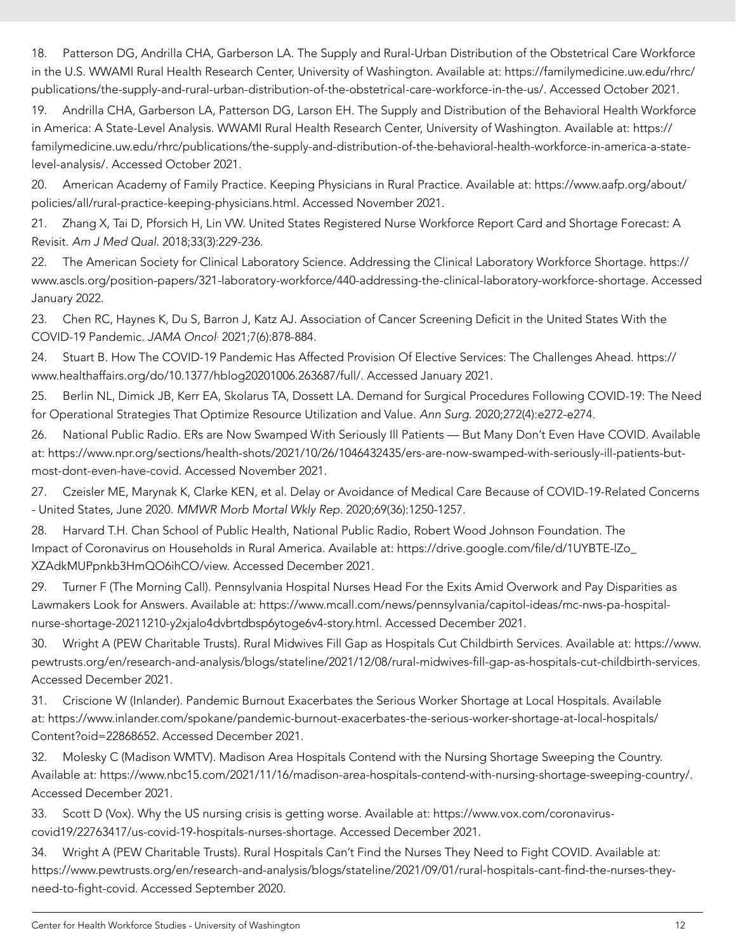18. Patterson DG, Andrilla CHA, Garberson LA. The Supply and Rural-Urban Distribution of the Obstetrical Care Workforce in the U.S. WWAMI Rural Health Research Center, University of Washington. Available at: [https://familymedicine.uw.edu/rhrc/](https://familymedicine.uw.edu/rhrc/publications/the-supply-and-rural-urban-distribution-of-the-obstetrical-care-workforce-in-the-us/) [publications/the-supply-and-rural-urban-distribution-of-the-obstetrical-care-workforce-in-the-us/](https://familymedicine.uw.edu/rhrc/publications/the-supply-and-rural-urban-distribution-of-the-obstetrical-care-workforce-in-the-us/). Accessed October 2021.

19. Andrilla CHA, Garberson LA, Patterson DG, Larson EH. The Supply and Distribution of the Behavioral Health Workforce in America: A State-Level Analysis. WWAMI Rural Health Research Center, University of Washington. Available at: [https://](https://familymedicine.uw.edu/rhrc/publications/the-supply-and-distribution-of-the-behavioral-health-workforce-in-america-a-state-level-analysis/) [familymedicine.uw.edu/rhrc/publications/the-supply-and-distribution-of-the-behavioral-health-workforce-in-america-a-state](https://familymedicine.uw.edu/rhrc/publications/the-supply-and-distribution-of-the-behavioral-health-workforce-in-america-a-state-level-analysis/)[level-analysis/.](https://familymedicine.uw.edu/rhrc/publications/the-supply-and-distribution-of-the-behavioral-health-workforce-in-america-a-state-level-analysis/) Accessed October 2021.

20. American Academy of Family Practice. Keeping Physicians in Rural Practice. Available at: [https://www.aafp.org/about/](https://www.aafp.org/about/policies/all/rural-practice-keeping-physicians.html) [policies/all/rural-practice-keeping-physicians.html.](https://www.aafp.org/about/policies/all/rural-practice-keeping-physicians.html) Accessed November 2021.

21. Zhang X, Tai D, Pforsich H, Lin VW. United States Registered Nurse Workforce Report Card and Shortage Forecast: A Revisit. *Am J Med Qual*. 2018;33(3):229-236.

22. The American Society for Clinical Laboratory Science. Addressing the Clinical Laboratory Workforce Shortage. [https://](https://www.ascls.org/position-papers/321-laboratory-workforce/440-addressing-the-clinical-laboratory-workforce-shortage) [www.ascls.org/position-papers/321-laboratory-workforce/440-addressing-the-clinical-laboratory-workforce-shortage](https://www.ascls.org/position-papers/321-laboratory-workforce/440-addressing-the-clinical-laboratory-workforce-shortage). Accessed January 2022.

23. Chen RC, Haynes K, Du S, Barron J, Katz AJ. Association of Cancer Screening Deficit in the United States With the COVID-19 Pandemic. *JAMA Oncol*. 2021;7(6):878-884.

24. Stuart B. How The COVID-19 Pandemic Has Affected Provision Of Elective Services: The Challenges Ahead. [https://](https://www.healthaffairs.org/do/10.1377/hblog20201006.263687/full/) [www.healthaffairs.org/do/10.1377/hblog20201006.263687/full/](https://www.healthaffairs.org/do/10.1377/hblog20201006.263687/full/). Accessed January 2021.

25. Berlin NL, Dimick JB, Kerr EA, Skolarus TA, Dossett LA. Demand for Surgical Procedures Following COVID-19: The Need for Operational Strategies That Optimize Resource Utilization and Value. *Ann Surg*. 2020;272(4):e272-e274.

26. National Public Radio. ERs are Now Swamped With Seriously Ill Patients — But Many Don't Even Have COVID. Available at: [https://www.npr.org/sections/health-shots/2021/10/26/1046432435/ers-are-now-swamped-with-seriously-ill-patients-but](https://www.npr.org/sections/health-shots/2021/10/26/1046432435/ers-are-now-swamped-with-seriously-ill-patients-but-most-dont-even-have-covid)[most-dont-even-have-covid.](https://www.npr.org/sections/health-shots/2021/10/26/1046432435/ers-are-now-swamped-with-seriously-ill-patients-but-most-dont-even-have-covid) Accessed November 2021.

27. Czeisler ME, Marynak K, Clarke KEN, et al. Delay or Avoidance of Medical Care Because of COVID-19-Related Concerns - United States, June 2020. *MMWR Morb Mortal Wkly Rep*. 2020;69(36):1250-1257.

28. Harvard T.H. Chan School of Public Health, National Public Radio, Robert Wood Johnson Foundation. The Impact of Coronavirus on Households in Rural America. Available at: [https://drive.google.com/file/d/1UYBTE-lZo\\_](https://drive.google.com/file/d/1UYBTE-lZo_XZAdkMUPpnkb3HmQO6ihCO/view) [XZAdkMUPpnkb3HmQO6ihCO/view.](https://drive.google.com/file/d/1UYBTE-lZo_XZAdkMUPpnkb3HmQO6ihCO/view) Accessed December 2021.

29. Turner F (The Morning Call). Pennsylvania Hospital Nurses Head For the Exits Amid Overwork and Pay Disparities as Lawmakers Look for Answers. Available at: [https://www.mcall.com/news/pennsylvania/capitol-ideas/mc-nws-pa-hospital](https://www.mcall.com/news/pennsylvania/capitol-ideas/mc-nws-pa-hospital-nurse-shortage-20211210-y2xjalo4dvbrtdbsp6ytoge6v4-story.html)[nurse-shortage-20211210-y2xjalo4dvbrtdbsp6ytoge6v4-story.html](https://www.mcall.com/news/pennsylvania/capitol-ideas/mc-nws-pa-hospital-nurse-shortage-20211210-y2xjalo4dvbrtdbsp6ytoge6v4-story.html). Accessed December 2021.

30. Wright A (PEW Charitable Trusts). Rural Midwives Fill Gap as Hospitals Cut Childbirth Services. Available at: [https://www.](https://www.pewtrusts.org/en/research-and-analysis/blogs/stateline/2021/12/08/rural-midwives-fill-gap-as-hospitals-cut-childbirth-services) [pewtrusts.org/en/research-and-analysis/blogs/stateline/2021/12/08/rural-midwives-fill-gap-as-hospitals-cut-childbirth-services](https://www.pewtrusts.org/en/research-and-analysis/blogs/stateline/2021/12/08/rural-midwives-fill-gap-as-hospitals-cut-childbirth-services). Accessed December 2021.

31. Criscione W (Inlander). Pandemic Burnout Exacerbates the Serious Worker Shortage at Local Hospitals. Available at: [https://www.inlander.com/spokane/pandemic-burnout-exacerbates-the-serious-worker-shortage-at-local-hospitals/](https://www.inlander.com/spokane/pandemic-burnout-exacerbates-the-serious-worker-shortage-at-local-hospitals/Content?oid=22868652) [Content?oid=22868652.](https://www.inlander.com/spokane/pandemic-burnout-exacerbates-the-serious-worker-shortage-at-local-hospitals/Content?oid=22868652) Accessed December 2021.

32. Molesky C (Madison WMTV). Madison Area Hospitals Contend with the Nursing Shortage Sweeping the Country. Available at: [https://www.nbc15.com/2021/11/16/madison-area-hospitals-contend-with-nursing-shortage-sweeping-country/.](https://www.nbc15.com/2021/11/16/madison-area-hospitals-contend-with-nursing-shortage-sweeping-country/) Accessed December 2021.

33. Scott D (Vox). Why the US nursing crisis is getting worse. Available at: [https://www.vox.com/coronavirus](https://www.vox.com/coronavirus-covid19/22763417/us-covid-19-hospitals-nurses-shortage)[covid19/22763417/us-covid-19-hospitals-nurses-shortage.](https://www.vox.com/coronavirus-covid19/22763417/us-covid-19-hospitals-nurses-shortage) Accessed December 2021.

34. Wright A (PEW Charitable Trusts). Rural Hospitals Can't Find the Nurses They Need to Fight COVID. Available at: [https://www.pewtrusts.org/en/research-and-analysis/blogs/stateline/2021/09/01/rural-hospitals-cant-find-the-nurses-they](https://www.pewtrusts.org/en/research-and-analysis/blogs/stateline/2021/09/01/rural-hospitals-cant-find-the-nurses-they-need-to-fight-covid)[need-to-fight-covid](https://www.pewtrusts.org/en/research-and-analysis/blogs/stateline/2021/09/01/rural-hospitals-cant-find-the-nurses-they-need-to-fight-covid). Accessed September 2020.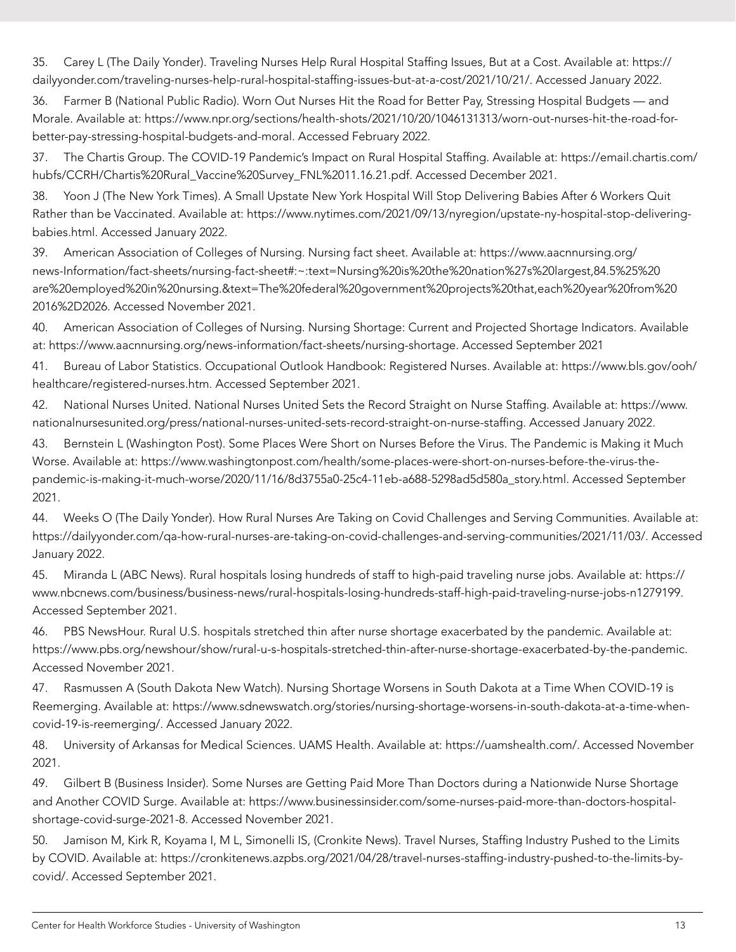35. Carey L (The Daily Yonder). Traveling Nurses Help Rural Hospital Staffing Issues, But at a Cost. Available at: [https://](https://dailyyonder.com/traveling-nurses-help-rural-hospital-staffing-issues-but-at-a-cost/2021/10/21/) [dailyyonder.com/traveling-nurses-help-rural-hospital-staffing-issues-but-at-a-cost/2021/10/21/](https://dailyyonder.com/traveling-nurses-help-rural-hospital-staffing-issues-but-at-a-cost/2021/10/21/). Accessed January 2022.

36. Farmer B (National Public Radio). Worn Out Nurses Hit the Road for Better Pay, Stressing Hospital Budgets — and Morale. Available at: [https://www.npr.org/sections/health-shots/2021/10/20/1046131313/worn-out-nurses-hit-the-road-for](https://www.npr.org/sections/health-shots/2021/10/20/1046131313/worn-out-nurses-hit-the-road-for-better-pay-stressing-hospital-budgets-and-moral)[better-pay-stressing-hospital-budgets-and-moral.](https://www.npr.org/sections/health-shots/2021/10/20/1046131313/worn-out-nurses-hit-the-road-for-better-pay-stressing-hospital-budgets-and-moral) Accessed February 2022.

37. The Chartis Group. The COVID-19 Pandemic's Impact on Rural Hospital Staffing. Available at: [https://email.chartis.com/](https://email.chartis.com/hubfs/CCRH/Chartis%20Rural_Vaccine%20Survey_FNL%2011.16.21.pdf) [hubfs/CCRH/Chartis%20Rural\\_Vaccine%20Survey\\_FNL%2011.16.21.pdf.](https://email.chartis.com/hubfs/CCRH/Chartis%20Rural_Vaccine%20Survey_FNL%2011.16.21.pdf) Accessed December 2021.

38. Yoon J (The New York Times). A Small Upstate New York Hospital Will Stop Delivering Babies After 6 Workers Quit Rather than be Vaccinated. Available at: [https://www.nytimes.com/2021/09/13/nyregion/upstate-ny-hospital-stop-delivering](https://www.nytimes.com/2021/09/13/nyregion/upstate-ny-hospital-stop-delivering-babies.html)[babies.html](https://www.nytimes.com/2021/09/13/nyregion/upstate-ny-hospital-stop-delivering-babies.html). Accessed January 2022.

39. American Association of Colleges of Nursing. Nursing fact sheet. Available at: [https://www.aacnnursing.org/](https://www.aacnnursing.org/news-Information/fact-sheets/nursing-fact-sheet#) [news-Information/fact-sheets/nursing-fact-sheet#:](https://www.aacnnursing.org/news-Information/fact-sheets/nursing-fact-sheet#)~:text=Nursing%20is%20the%20nation%27s%20largest,84.5%25%20 are%20employed%20in%20nursing.&text=The%20federal%20government%20projects%20that,each%20year%20from%20 2016%2D2026. Accessed November 2021.

40. American Association of Colleges of Nursing. Nursing Shortage: Current and Projected Shortage Indicators. Available at: <https://www.aacnnursing.org/news-information/fact-sheets/nursing-shortage>. Accessed September 2021

41. Bureau of Labor Statistics. Occupational Outlook Handbook: Registered Nurses. Available at: [https://www.bls.gov/ooh/](https://www.bls.gov/ooh/healthcare/registered-nurses.htm) [healthcare/registered-nurses.htm](https://www.bls.gov/ooh/healthcare/registered-nurses.htm). Accessed September 2021.

42. National Nurses United. National Nurses United Sets the Record Straight on Nurse Staffing. Available at: [https://www.](https://www.nationalnursesunited.org/press/national-nurses-united-sets-record-straight-on-nurse-staffing) [nationalnursesunited.org/press/national-nurses-united-sets-record-straight-on-nurse-staffing](https://www.nationalnursesunited.org/press/national-nurses-united-sets-record-straight-on-nurse-staffing). Accessed January 2022.

43. Bernstein L (Washington Post). Some Places Were Short on Nurses Before the Virus. The Pandemic is Making it Much Worse. Available at: [https://www.washingtonpost.com/health/some-places-were-short-on-nurses-before-the-virus-the](https://www.washingtonpost.com/health/some-places-were-short-on-nurses-before-the-virus-the-pandemic-is-making-it-much-worse/2020/11/16/8d3755a0-25c4-11eb-a688-5298ad5d580a_story.html)[pandemic-is-making-it-much-worse/2020/11/16/8d3755a0-25c4-11eb-a688-5298ad5d580a\\_story.html](https://www.washingtonpost.com/health/some-places-were-short-on-nurses-before-the-virus-the-pandemic-is-making-it-much-worse/2020/11/16/8d3755a0-25c4-11eb-a688-5298ad5d580a_story.html). Accessed September 2021.

44. Weeks O (The Daily Yonder). How Rural Nurses Are Taking on Covid Challenges and Serving Communities. Available at: <https://dailyyonder.com/qa-how-rural-nurses-are-taking-on-covid-challenges-and-serving-communities/2021/11/03/>. Accessed January 2022.

45. Miranda L (ABC News). Rural hospitals losing hundreds of staff to high-paid traveling nurse jobs. Available at: [https://](https://www.nbcnews.com/business/business-news/rural-hospitals-losing-hundreds-staff-high-paid-traveling-nurse-jobs-n1279199) [www.nbcnews.com/business/business-news/rural-hospitals-losing-hundreds-staff-high-paid-traveling-nurse-jobs-n1279199](https://www.nbcnews.com/business/business-news/rural-hospitals-losing-hundreds-staff-high-paid-traveling-nurse-jobs-n1279199). Accessed September 2021.

46. PBS NewsHour. Rural U.S. hospitals stretched thin after nurse shortage exacerbated by the pandemic. Available at: [https://www.pbs.org/newshour/show/rural-u-s-hospitals-stretched-thin-after-nurse-shortage-exacerbated-by-the-pandemic.](https://www.pbs.org/newshour/show/rural-u-s-hospitals-stretched-thin-after-nurse-shortage-exacerbated-by-the-pandemic) Accessed November 2021.

47. Rasmussen A (South Dakota New Watch). Nursing Shortage Worsens in South Dakota at a Time When COVID-19 is Reemerging. Available at: [https://www.sdnewswatch.org/stories/nursing-shortage-worsens-in-south-dakota-at-a-time-when](https://www.sdnewswatch.org/stories/nursing-shortage-worsens-in-south-dakota-at-a-time-when-covid-19-is-reemerging/)[covid-19-is-reemerging/](https://www.sdnewswatch.org/stories/nursing-shortage-worsens-in-south-dakota-at-a-time-when-covid-19-is-reemerging/). Accessed January 2022.

48. University of Arkansas for Medical Sciences. UAMS Health. Available at: <https://uamshealth.com/>. Accessed November 2021.

49. Gilbert B (Business Insider). Some Nurses are Getting Paid More Than Doctors during a Nationwide Nurse Shortage and Another COVID Surge. Available at: [https://www.businessinsider.com/some-nurses-paid-more-than-doctors-hospital](https://www.businessinsider.com/some-nurses-paid-more-than-doctors-hospital-shortage-covid-surge-2021-8)[shortage-covid-surge-2021-8](https://www.businessinsider.com/some-nurses-paid-more-than-doctors-hospital-shortage-covid-surge-2021-8). Accessed November 2021.

50. Jamison M, Kirk R, Koyama I, M L, Simonelli IS, (Cronkite News). Travel Nurses, Staffing Industry Pushed to the Limits by COVID. Available at: [https://cronkitenews.azpbs.org/2021/04/28/travel-nurses-staffing-industry-pushed-to-the-limits-by](https://cronkitenews.azpbs.org/2021/04/28/travel-nurses-staffing-industry-pushed-to-the-limits-by-covid/)[covid/.](https://cronkitenews.azpbs.org/2021/04/28/travel-nurses-staffing-industry-pushed-to-the-limits-by-covid/) Accessed September 2021.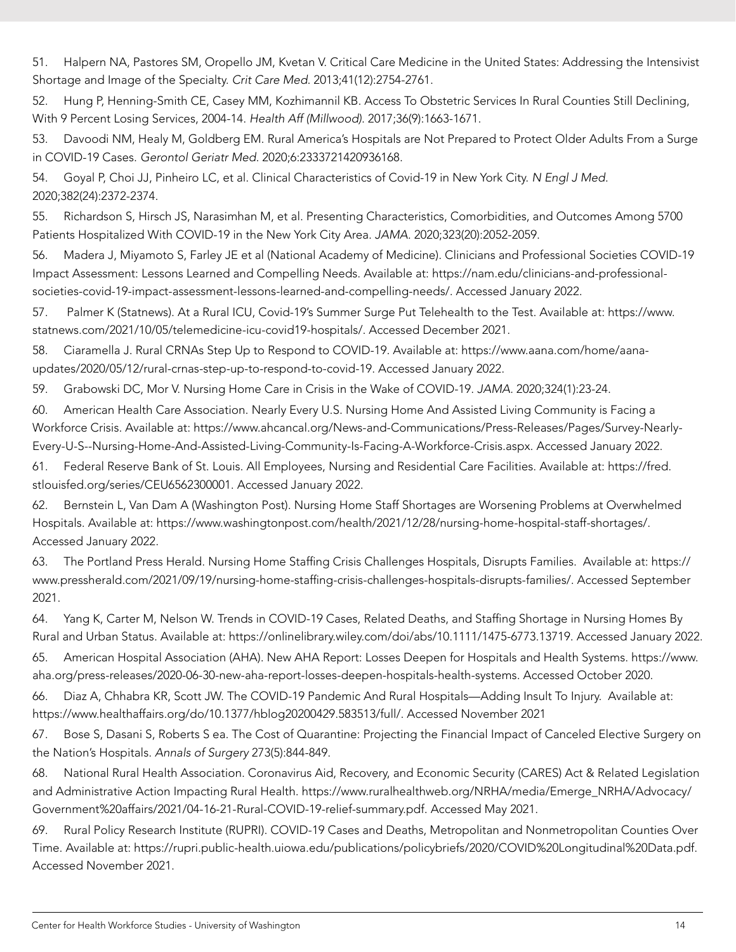51. Halpern NA, Pastores SM, Oropello JM, Kvetan V. Critical Care Medicine in the United States: Addressing the Intensivist Shortage and Image of the Specialty. *Crit Care Med*. 2013;41(12):2754-2761.

52. Hung P, Henning-Smith CE, Casey MM, Kozhimannil KB. Access To Obstetric Services In Rural Counties Still Declining, With 9 Percent Losing Services, 2004-14. *Health Aff (Millwood)*. 2017;36(9):1663-1671.

53. Davoodi NM, Healy M, Goldberg EM. Rural America's Hospitals are Not Prepared to Protect Older Adults From a Surge in COVID-19 Cases. *Gerontol Geriatr Med*. 2020;6:2333721420936168.

54. Goyal P, Choi JJ, Pinheiro LC, et al. Clinical Characteristics of Covid-19 in New York City. *N Engl J Med.*  2020;382(24):2372-2374.

55. Richardson S, Hirsch JS, Narasimhan M, et al. Presenting Characteristics, Comorbidities, and Outcomes Among 5700 Patients Hospitalized With COVID-19 in the New York City Area. *JAMA.* 2020;323(20):2052-2059.

56. Madera J, Miyamoto S, Farley JE et al (National Academy of Medicine). Clinicians and Professional Societies COVID-19 Impact Assessment: Lessons Learned and Compelling Needs. Available at: [https://nam.edu/clinicians-and-professional](https://nam.edu/clinicians-and-professional-societies-covid-19-impact-assessment-lessons-learned-and-compelling-needs/)[societies-covid-19-impact-assessment-lessons-learned-and-compelling-needs/](https://nam.edu/clinicians-and-professional-societies-covid-19-impact-assessment-lessons-learned-and-compelling-needs/). Accessed January 2022.

57. Palmer K (Statnews). At a Rural ICU, Covid-19's Summer Surge Put Telehealth to the Test. Available at: [https://www.](https://www.statnews.com/2021/10/05/telemedicine-icu-covid19-hospitals/) [statnews.com/2021/10/05/telemedicine-icu-covid19-hospitals/.](https://www.statnews.com/2021/10/05/telemedicine-icu-covid19-hospitals/) Accessed December 2021.

58. Ciaramella J. Rural CRNAs Step Up to Respond to COVID-19. Available at: [https://www.aana.com/home/aana](https://www.aana.com/home/aana-updates/2020/05/12/rural-crnas-step-up-to-respond-to-covid-19)[updates/2020/05/12/rural-crnas-step-up-to-respond-to-covid-19.](https://www.aana.com/home/aana-updates/2020/05/12/rural-crnas-step-up-to-respond-to-covid-19) Accessed January 2022.

59. Grabowski DC, Mor V. Nursing Home Care in Crisis in the Wake of COVID-19. *JAMA.* 2020;324(1):23-24.

60. American Health Care Association. Nearly Every U.S. Nursing Home And Assisted Living Community is Facing a Workforce Crisis. Available at: [https://www.ahcancal.org/News-and-Communications/Press-Releases/Pages/Survey-Nearly-](https://www.ahcancal.org/News-and-Communications/Press-Releases/Pages/Survey-Nearly-Every-U-S--Nursing-Home-And-Assisted-Living-Community-Is-Facing-A-Workforce-Crisis.aspx)[Every-U-S--Nursing-Home-And-Assisted-Living-Community-Is-Facing-A-Workforce-Crisis.aspx](https://www.ahcancal.org/News-and-Communications/Press-Releases/Pages/Survey-Nearly-Every-U-S--Nursing-Home-And-Assisted-Living-Community-Is-Facing-A-Workforce-Crisis.aspx). Accessed January 2022.

61. Federal Reserve Bank of St. Louis. All Employees, Nursing and Residential Care Facilities. Available at: [https://fred.](https://fred.stlouisfed.org/series/CEU6562300001) [stlouisfed.org/series/CEU6562300001](https://fred.stlouisfed.org/series/CEU6562300001). Accessed January 2022.

62. Bernstein L, Van Dam A (Washington Post). Nursing Home Staff Shortages are Worsening Problems at Overwhelmed Hospitals. Available at: [https://www.washingtonpost.com/health/2021/12/28/nursing-home-hospital-staff-shortages/.](https://www.washingtonpost.com/health/2021/12/28/nursing-home-hospital-staff-shortages/) Accessed January 2022.

63. The Portland Press Herald. Nursing Home Staffing Crisis Challenges Hospitals, Disrupts Families. Available at: [https://](https://www.pressherald.com/2021/09/19/nursing-home-staffing-crisis-challenges-hospitals-disrupts-families/) [www.pressherald.com/2021/09/19/nursing-home-staffing-crisis-challenges-hospitals-disrupts-families/](https://www.pressherald.com/2021/09/19/nursing-home-staffing-crisis-challenges-hospitals-disrupts-families/). Accessed September 2021.

64. Yang K, Carter M, Nelson W. Trends in COVID-19 Cases, Related Deaths, and Staffing Shortage in Nursing Homes By Rural and Urban Status. Available at: [https://onlinelibrary.wiley.com/doi/abs/10.1111/1475-6773.13719.](https://onlinelibrary.wiley.com/doi/abs/10.1111/1475-6773.13719) Accessed January 2022.

65. American Hospital Association (AHA). New AHA Report: Losses Deepen for Hospitals and Health Systems. [https://www.](https://www.aha.org/press-releases/2020-06-30-new-aha-report-losses-deepen-hospitals-health-systems) [aha.org/press-releases/2020-06-30-new-aha-report-losses-deepen-hospitals-health-systems](https://www.aha.org/press-releases/2020-06-30-new-aha-report-losses-deepen-hospitals-health-systems). Accessed October 2020.

66. Diaz A, Chhabra KR, Scott JW. The COVID-19 Pandemic And Rural Hospitals—Adding Insult To Injury. Available at: <https://www.healthaffairs.org/do/10.1377/hblog20200429.583513/full/>. Accessed November 2021

67. Bose S, Dasani S, Roberts S ea. The Cost of Quarantine: Projecting the Financial Impact of Canceled Elective Surgery on the Nation's Hospitals. *Annals of Surgery* 273(5):844-849.

68. National Rural Health Association. Coronavirus Aid, Recovery, and Economic Security (CARES) Act & Related Legislation and Administrative Action Impacting Rural Health. [https://www.ruralhealthweb.org/NRHA/media/Emerge\\_NRHA/Advocacy/](https://www.ruralhealthweb.org/NRHA/media/Emerge_NRHA/Advocacy/Government%20affairs/2021/04-16-21-Rural-COVID-19-relief-summary.pdf) [Government%20affairs/2021/04-16-21-Rural-COVID-19-relief-summary.pdf](https://www.ruralhealthweb.org/NRHA/media/Emerge_NRHA/Advocacy/Government%20affairs/2021/04-16-21-Rural-COVID-19-relief-summary.pdf). Accessed May 2021.

69. Rural Policy Research Institute (RUPRI). COVID-19 Cases and Deaths, Metropolitan and Nonmetropolitan Counties Over Time. Available at: [https://rupri.public-health.uiowa.edu/publications/policybriefs/2020/COVID%20Longitudinal%20Data.pdf.](https://rupri.public-health.uiowa.edu/publications/policybriefs/2020/COVID%20Longitudinal%20Data.pdf) Accessed November 2021.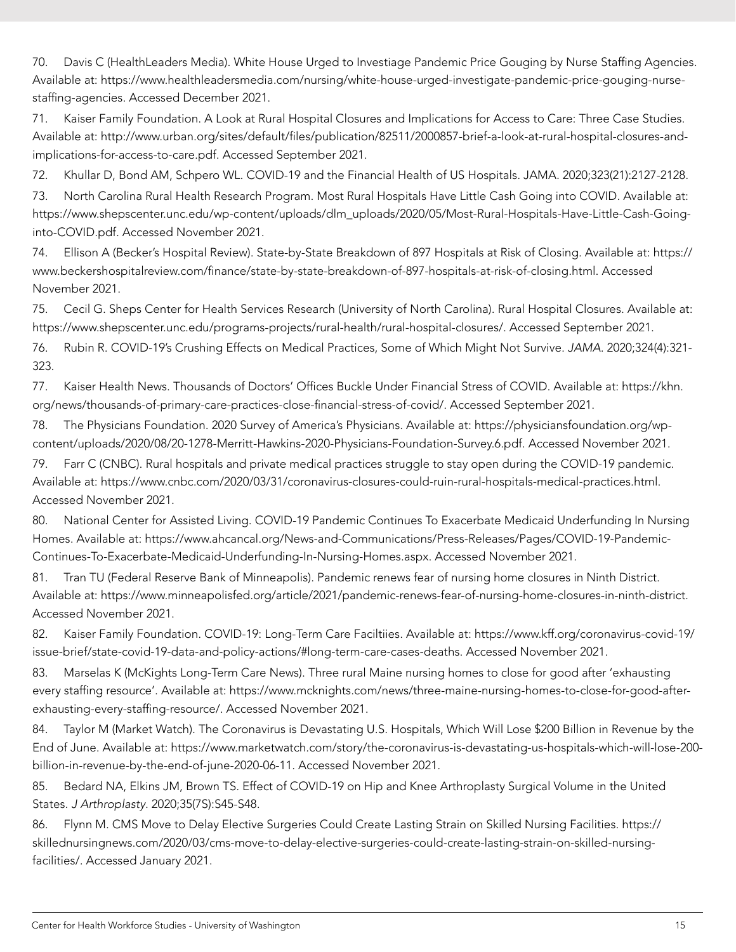70. Davis C (HealthLeaders Media). White House Urged to Investiage Pandemic Price Gouging by Nurse Staffing Agencies. Available at: [https://www.healthleadersmedia.com/nursing/white-house-urged-investigate-pandemic-price-gouging-nurse](https://www.healthleadersmedia.com/nursing/white-house-urged-investigate-pandemic-price-gouging-nurse-staffing-agencies)[staffing-agencies](https://www.healthleadersmedia.com/nursing/white-house-urged-investigate-pandemic-price-gouging-nurse-staffing-agencies). Accessed December 2021.

71. Kaiser Family Foundation. A Look at Rural Hospital Closures and Implications for Access to Care: Three Case Studies. Available at: [http://www.urban.org/sites/default/files/publication/82511/2000857-brief-a-look-at-rural-hospital-closures-and](http://www.urban.org/sites/default/files/publication/82511/2000857-brief-a-look-at-rural-hospital-closures-and-implications-for-access-to-care.pdf)[implications-for-access-to-care.pdf.](http://www.urban.org/sites/default/files/publication/82511/2000857-brief-a-look-at-rural-hospital-closures-and-implications-for-access-to-care.pdf) Accessed September 2021.

72. Khullar D, Bond AM, Schpero WL. COVID-19 and the Financial Health of US Hospitals. JAMA. 2020;323(21):2127-2128.

73. North Carolina Rural Health Research Program. Most Rural Hospitals Have Little Cash Going into COVID. Available at: [https://www.shepscenter.unc.edu/wp-content/uploads/dlm\\_uploads/2020/05/Most-Rural-Hospitals-Have-Little-Cash-Going](https://www.shepscenter.unc.edu/wp-content/uploads/dlm_uploads/2020/05/Most-Rural-Hospitals-Have-Little-Cash-Going-into-COVID.pdf)[into-COVID.pdf.](https://www.shepscenter.unc.edu/wp-content/uploads/dlm_uploads/2020/05/Most-Rural-Hospitals-Have-Little-Cash-Going-into-COVID.pdf) Accessed November 2021.

74. Ellison A (Becker's Hospital Review). State-by-State Breakdown of 897 Hospitals at Risk of Closing. Available at: [https://](https://www.beckershospitalreview.com/finance/state-by-state-breakdown-of-897-hospitals-at-risk-of-closing.html) [www.beckershospitalreview.com/finance/state-by-state-breakdown-of-897-hospitals-at-risk-of-closing.html](https://www.beckershospitalreview.com/finance/state-by-state-breakdown-of-897-hospitals-at-risk-of-closing.html). Accessed November 2021.

75. Cecil G. Sheps Center for Health Services Research (University of North Carolina). Rural Hospital Closures. Available at: [https://www.shepscenter.unc.edu/programs-projects/rural-health/rural-hospital-closures/.](https://www.shepscenter.unc.edu/programs-projects/rural-health/rural-hospital-closures/) Accessed September 2021.

76. Rubin R. COVID-19's Crushing Effects on Medical Practices, Some of Which Might Not Survive. *JAMA*. 2020;324(4):321- 323.

77. Kaiser Health News. Thousands of Doctors' Offices Buckle Under Financial Stress of COVID. Available at: [https://khn.](https://khn.org/news/thousands-of-primary-care-practices-close-financial-stress-of-covid/) [org/news/thousands-of-primary-care-practices-close-financial-stress-of-covid/](https://khn.org/news/thousands-of-primary-care-practices-close-financial-stress-of-covid/). Accessed September 2021.

78. The Physicians Foundation. 2020 Survey of America's Physicians. Available at: [https://physiciansfoundation.org/wp](https://physiciansfoundation.org/wp-content/uploads/2020/08/20-1278-Merritt-Hawkins-2020-Physicians-Foundation-Survey.6.pdf)[content/uploads/2020/08/20-1278-Merritt-Hawkins-2020-Physicians-Foundation-Survey.6.pdf.](https://physiciansfoundation.org/wp-content/uploads/2020/08/20-1278-Merritt-Hawkins-2020-Physicians-Foundation-Survey.6.pdf) Accessed November 2021.

79. Farr C (CNBC). Rural hospitals and private medical practices struggle to stay open during the COVID-19 pandemic. Available at: <https://www.cnbc.com/2020/03/31/coronavirus-closures-could-ruin-rural-hospitals-medical-practices.html>. Accessed November 2021.

80. National Center for Assisted Living. COVID-19 Pandemic Continues To Exacerbate Medicaid Underfunding In Nursing Homes. Available at: [https://www.ahcancal.org/News-and-Communications/Press-Releases/Pages/COVID-19-Pandemic-](https://www.ahcancal.org/News-and-Communications/Press-Releases/Pages/COVID-19-Pandemic-Continues-To-Exacerbate-Medicaid-Underfunding-In-Nursing-Homes.aspx)[Continues-To-Exacerbate-Medicaid-Underfunding-In-Nursing-Homes.aspx.](https://www.ahcancal.org/News-and-Communications/Press-Releases/Pages/COVID-19-Pandemic-Continues-To-Exacerbate-Medicaid-Underfunding-In-Nursing-Homes.aspx) Accessed November 2021.

81. Tran TU (Federal Reserve Bank of Minneapolis). Pandemic renews fear of nursing home closures in Ninth District. Available at: <https://www.minneapolisfed.org/article/2021/pandemic-renews-fear-of-nursing-home-closures-in-ninth-district>. Accessed November 2021.

82. Kaiser Family Foundation. COVID-19: Long-Term Care Faciltiies. Available at: [https://www.kff.org/coronavirus-covid-19/](https://www.kff.org/coronavirus-covid-19/issue-brief/state-covid-19-data-and-policy-actions/#long-term-care-cases-deaths) [issue-brief/state-covid-19-data-and-policy-actions/#long-term-care-cases-deaths.](https://www.kff.org/coronavirus-covid-19/issue-brief/state-covid-19-data-and-policy-actions/#long-term-care-cases-deaths) Accessed November 2021.

83. Marselas K (McKights Long-Term Care News). Three rural Maine nursing homes to close for good after 'exhausting every staffing resource'. Available at: [https://www.mcknights.com/news/three-maine-nursing-homes-to-close-for-good-after](https://www.mcknights.com/news/three-maine-nursing-homes-to-close-for-good-after-exhausting-every-staffing-resource/)[exhausting-every-staffing-resource/](https://www.mcknights.com/news/three-maine-nursing-homes-to-close-for-good-after-exhausting-every-staffing-resource/). Accessed November 2021.

84. Taylor M (Market Watch). The Coronavirus is Devastating U.S. Hospitals, Which Will Lose \$200 Billion in Revenue by the End of June. Available at: [https://www.marketwatch.com/story/the-coronavirus-is-devastating-us-hospitals-which-will-lose-200](https://www.marketwatch.com/story/the-coronavirus-is-devastating-us-hospitals-which-will-lose-200-billion-in-revenue-by-the-end-of-june-2020-06-11) [billion-in-revenue-by-the-end-of-june-2020-06-11](https://www.marketwatch.com/story/the-coronavirus-is-devastating-us-hospitals-which-will-lose-200-billion-in-revenue-by-the-end-of-june-2020-06-11). Accessed November 2021.

85. Bedard NA, Elkins JM, Brown TS. Effect of COVID-19 on Hip and Knee Arthroplasty Surgical Volume in the United States. *J Arthroplasty*. 2020;35(7S):S45-S48.

86. Flynn M. CMS Move to Delay Elective Surgeries Could Create Lasting Strain on Skilled Nursing Facilities. [https://](https://skillednursingnews.com/2020/03/cms-move-to-delay-elective-surgeries-could-create-lasting-strain-on-skilled-nursing-facilities/) [skillednursingnews.com/2020/03/cms-move-to-delay-elective-surgeries-could-create-lasting-strain-on-skilled-nursing](https://skillednursingnews.com/2020/03/cms-move-to-delay-elective-surgeries-could-create-lasting-strain-on-skilled-nursing-facilities/)[facilities/](https://skillednursingnews.com/2020/03/cms-move-to-delay-elective-surgeries-could-create-lasting-strain-on-skilled-nursing-facilities/). Accessed January 2021.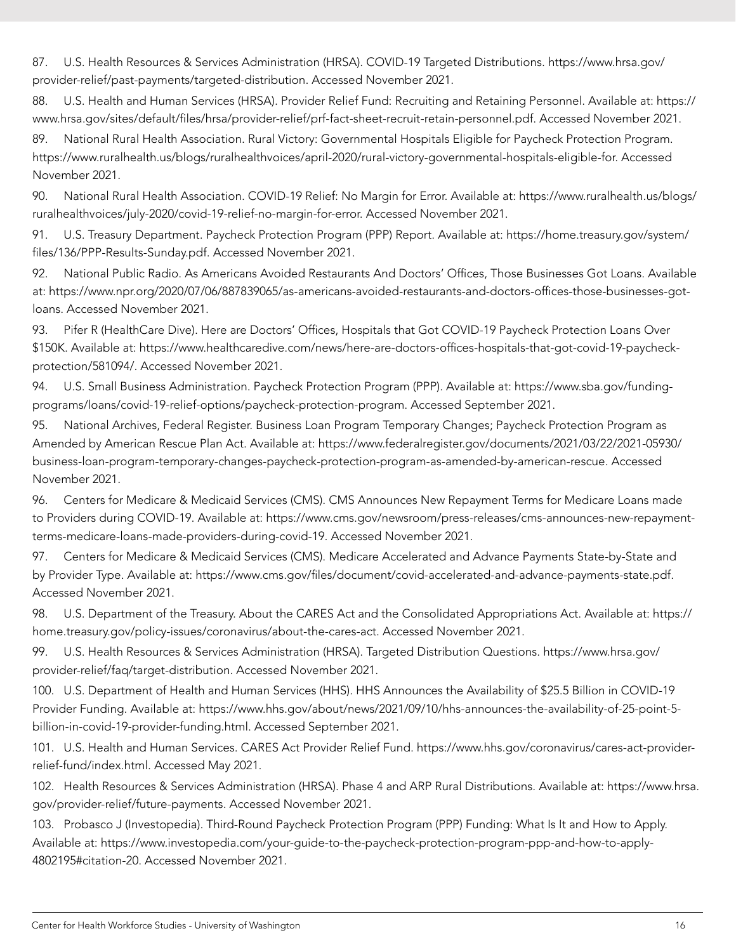87. U.S. Health Resources & Services Administration (HRSA). COVID-19 Targeted Distributions. [https://www.hrsa.gov/](https://www.hrsa.gov/provider-relief/past-payments/targeted-distribution) [provider-relief/past-payments/targeted-distribution](https://www.hrsa.gov/provider-relief/past-payments/targeted-distribution). Accessed November 2021.

88. U.S. Health and Human Services (HRSA). Provider Relief Fund: Recruiting and Retaining Personnel. Available at: [https://](https://www.hrsa.gov/sites/default/files/hrsa/provider-relief/prf-fact-sheet-recruit-retain-personnel.pdf) [www.hrsa.gov/sites/default/files/hrsa/provider-relief/prf-fact-sheet-recruit-retain-personnel.pdf](https://www.hrsa.gov/sites/default/files/hrsa/provider-relief/prf-fact-sheet-recruit-retain-personnel.pdf). Accessed November 2021.

89. National Rural Health Association. Rural Victory: Governmental Hospitals Eligible for Paycheck Protection Program. [https://www.ruralhealth.us/blogs/ruralhealthvoices/april-2020/rural-victory-governmental-hospitals-eligible-for.](https://www.ruralhealth.us/blogs/ruralhealthvoices/april-2020/rural-victory-governmental-hospitals-eligible-for) Accessed November 2021.

90. National Rural Health Association. COVID-19 Relief: No Margin for Error. Available at: [https://www.ruralhealth.us/blogs/](https://www.ruralhealth.us/blogs/ruralhealthvoices/july-2020/covid-19-relief-no-margin-for-error) [ruralhealthvoices/july-2020/covid-19-relief-no-margin-for-error](https://www.ruralhealth.us/blogs/ruralhealthvoices/july-2020/covid-19-relief-no-margin-for-error). Accessed November 2021.

91. U.S. Treasury Department. Paycheck Protection Program (PPP) Report. Available at: [https://home.treasury.gov/system/](https://home.treasury.gov/system/files/136/PPP-Results-Sunday.pdf) [files/136/PPP-Results-Sunday.pdf](https://home.treasury.gov/system/files/136/PPP-Results-Sunday.pdf). Accessed November 2021.

92. National Public Radio. As Americans Avoided Restaurants And Doctors' Offices, Those Businesses Got Loans. Available at: [https://www.npr.org/2020/07/06/887839065/as-americans-avoided-restaurants-and-doctors-offices-those-businesses-got](https://www.npr.org/2020/07/06/887839065/as-americans-avoided-restaurants-and-doctors-offices-those-businesses-got-loans)[loans](https://www.npr.org/2020/07/06/887839065/as-americans-avoided-restaurants-and-doctors-offices-those-businesses-got-loans). Accessed November 2021.

93. Pifer R (HealthCare Dive). Here are Doctors' Offices, Hospitals that Got COVID-19 Paycheck Protection Loans Over \$150K. Available at: [https://www.healthcaredive.com/news/here-are-doctors-offices-hospitals-that-got-covid-19-paycheck](https://www.healthcaredive.com/news/here-are-doctors-offices-hospitals-that-got-covid-19-paycheck-protection/581094/)[protection/581094/.](https://www.healthcaredive.com/news/here-are-doctors-offices-hospitals-that-got-covid-19-paycheck-protection/581094/) Accessed November 2021.

94. U.S. Small Business Administration. Paycheck Protection Program (PPP). Available at: [https://www.sba.gov/funding](https://www.sba.gov/funding-programs/loans/covid-19-relief-options/paycheck-protection-program)[programs/loans/covid-19-relief-options/paycheck-protection-program.](https://www.sba.gov/funding-programs/loans/covid-19-relief-options/paycheck-protection-program) Accessed September 2021.

95. National Archives, Federal Register. Business Loan Program Temporary Changes; Paycheck Protection Program as Amended by American Rescue Plan Act. Available at: [https://www.federalregister.gov/documents/2021/03/22/2021-05930/](https://www.federalregister.gov/documents/2021/03/22/2021-05930/business-loan-program-temporary-changes-paycheck-protection-program-as-amended-by-american-rescue) [business-loan-program-temporary-changes-paycheck-protection-program-as-amended-by-american-rescue.](https://www.federalregister.gov/documents/2021/03/22/2021-05930/business-loan-program-temporary-changes-paycheck-protection-program-as-amended-by-american-rescue) Accessed November 2021.

96. Centers for Medicare & Medicaid Services (CMS). CMS Announces New Repayment Terms for Medicare Loans made to Providers during COVID-19. Available at: [https://www.cms.gov/newsroom/press-releases/cms-announces-new-repayment](https://www.cms.gov/newsroom/press-releases/cms-announces-new-repayment-terms-medicare-loans-made-providers-during-covid-19)[terms-medicare-loans-made-providers-during-covid-19](https://www.cms.gov/newsroom/press-releases/cms-announces-new-repayment-terms-medicare-loans-made-providers-during-covid-19). Accessed November 2021.

97. Centers for Medicare & Medicaid Services (CMS). Medicare Accelerated and Advance Payments State-by-State and by Provider Type. Available at: <https://www.cms.gov/files/document/covid-accelerated-and-advance-payments-state.pdf>. Accessed November 2021.

98. U.S. Department of the Treasury. About the CARES Act and the Consolidated Appropriations Act. Available at: [https://](https://home.treasury.gov/policy-issues/coronavirus/about-the-cares-act) [home.treasury.gov/policy-issues/coronavirus/about-the-cares-act](https://home.treasury.gov/policy-issues/coronavirus/about-the-cares-act). Accessed November 2021.

99. U.S. Health Resources & Services Administration (HRSA). Targeted Distribution Questions. [https://www.hrsa.gov/](https://www.hrsa.gov/provider-relief/faq/target-distribution) [provider-relief/faq/target-distribution](https://www.hrsa.gov/provider-relief/faq/target-distribution). Accessed November 2021.

100. U.S. Department of Health and Human Services (HHS). HHS Announces the Availability of \$25.5 Billion in COVID-19 Provider Funding. Available at: [https://www.hhs.gov/about/news/2021/09/10/hhs-announces-the-availability-of-25-point-5](https://www.hhs.gov/about/news/2021/09/10/hhs-announces-the-availability-of-25-point-5-billion-in-covid-19-provider-funding.html) [billion-in-covid-19-provider-funding.html](https://www.hhs.gov/about/news/2021/09/10/hhs-announces-the-availability-of-25-point-5-billion-in-covid-19-provider-funding.html). Accessed September 2021.

101. U.S. Health and Human Services. CARES Act Provider Relief Fund. [https://www.hhs.gov/coronavirus/cares-act-provider](https://www.hhs.gov/coronavirus/cares-act-provider-relief-fund/index.html)[relief-fund/index.html](https://www.hhs.gov/coronavirus/cares-act-provider-relief-fund/index.html). Accessed May 2021.

102. Health Resources & Services Administration (HRSA). Phase 4 and ARP Rural Distributions. Available at: [https://www.hrsa.](https://www.hrsa.gov/provider-relief/future-payments) [gov/provider-relief/future-payments.](https://www.hrsa.gov/provider-relief/future-payments) Accessed November 2021.

103. Probasco J (Investopedia). Third-Round Paycheck Protection Program (PPP) Funding: What Is It and How to Apply. Available at: [https://www.investopedia.com/your-guide-to-the-paycheck-protection-program-ppp-and-how-to-apply-](https://www.investopedia.com/your-guide-to-the-paycheck-protection-program-ppp-and-how-to-apply-4802195#citation-20)[4802195#citation-20](https://www.investopedia.com/your-guide-to-the-paycheck-protection-program-ppp-and-how-to-apply-4802195#citation-20). Accessed November 2021.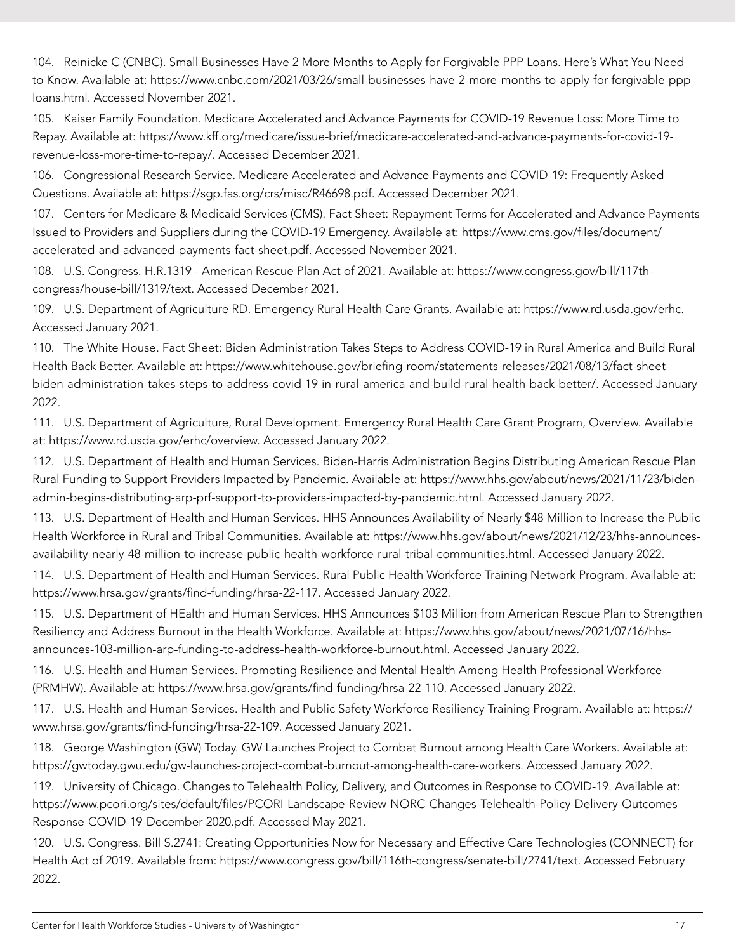104. Reinicke C (CNBC). Small Businesses Have 2 More Months to Apply for Forgivable PPP Loans. Here's What You Need to Know. Available at: [https://www.cnbc.com/2021/03/26/small-businesses-have-2-more-months-to-apply-for-forgivable-ppp](https://www.cnbc.com/2021/03/26/small-businesses-have-2-more-months-to-apply-for-forgivable-ppp-loans.html)[loans.html.](https://www.cnbc.com/2021/03/26/small-businesses-have-2-more-months-to-apply-for-forgivable-ppp-loans.html) Accessed November 2021.

105. Kaiser Family Foundation. Medicare Accelerated and Advance Payments for COVID-19 Revenue Loss: More Time to Repay. Available at: [https://www.kff.org/medicare/issue-brief/medicare-accelerated-and-advance-payments-for-covid-19](https://www.kff.org/medicare/issue-brief/medicare-accelerated-and-advance-payments-for-covid-19-revenue-loss-more-time-to-repay/) [revenue-loss-more-time-to-repay/.](https://www.kff.org/medicare/issue-brief/medicare-accelerated-and-advance-payments-for-covid-19-revenue-loss-more-time-to-repay/) Accessed December 2021.

106. Congressional Research Service. Medicare Accelerated and Advance Payments and COVID-19: Frequently Asked Questions. Available at:<https://sgp.fas.org/crs/misc/R46698.pdf>. Accessed December 2021.

107. Centers for Medicare & Medicaid Services (CMS). Fact Sheet: Repayment Terms for Accelerated and Advance Payments Issued to Providers and Suppliers during the COVID-19 Emergency. Available at: [https://www.cms.gov/files/document/](https://www.cms.gov/files/document/accelerated-and-advanced-payments-fact-sheet.pdf) [accelerated-and-advanced-payments-fact-sheet.pdf](https://www.cms.gov/files/document/accelerated-and-advanced-payments-fact-sheet.pdf). Accessed November 2021.

108. U.S. Congress. H.R.1319 - American Rescue Plan Act of 2021. Available at: [https://www.congress.gov/bill/117th](https://www.congress.gov/bill/117th-congress/house-bill/1319/text)[congress/house-bill/1319/text](https://www.congress.gov/bill/117th-congress/house-bill/1319/text). Accessed December 2021.

109. U.S. Department of Agriculture RD. Emergency Rural Health Care Grants. Available at: [https://www.rd.usda.gov/erhc.](https://www.rd.usda.gov/erhc) Accessed January 2021.

110. The White House. Fact Sheet: Biden Administration Takes Steps to Address COVID-19 in Rural America and Build Rural Health Back Better. Available at: [https://www.whitehouse.gov/briefing-room/statements-releases/2021/08/13/fact-sheet](https://www.whitehouse.gov/briefing-room/statements-releases/2021/08/13/fact-sheet-biden-administration-takes-steps-to-address-covid-19-in-rural-america-and-build-rural-health-back-better/)[biden-administration-takes-steps-to-address-covid-19-in-rural-america-and-build-rural-health-back-better/.](https://www.whitehouse.gov/briefing-room/statements-releases/2021/08/13/fact-sheet-biden-administration-takes-steps-to-address-covid-19-in-rural-america-and-build-rural-health-back-better/) Accessed January 2022.

111. U.S. Department of Agriculture, Rural Development. Emergency Rural Health Care Grant Program, Overview. Available at: [https://www.rd.usda.gov/erhc/overview.](https://www.rd.usda.gov/erhc/overview) Accessed January 2022.

112. U.S. Department of Health and Human Services. Biden-Harris Administration Begins Distributing American Rescue Plan Rural Funding to Support Providers Impacted by Pandemic. Available at: [https://www.hhs.gov/about/news/2021/11/23/biden](https://www.hhs.gov/about/news/2021/11/23/biden-admin-begins-distributing-arp-prf-support-to-providers-impacted-by-pandemic.html)[admin-begins-distributing-arp-prf-support-to-providers-impacted-by-pandemic.html.](https://www.hhs.gov/about/news/2021/11/23/biden-admin-begins-distributing-arp-prf-support-to-providers-impacted-by-pandemic.html) Accessed January 2022.

113. U.S. Department of Health and Human Services. HHS Announces Availability of Nearly \$48 Million to Increase the Public Health Workforce in Rural and Tribal Communities. Available at: [https://www.hhs.gov/about/news/2021/12/23/hhs-announces](https://www.hhs.gov/about/news/2021/12/23/hhs-announces-availability-nearly-48-million-to-increase-public-health-workforce-rural-tribal-communities.html)[availability-nearly-48-million-to-increase-public-health-workforce-rural-tribal-communities.html.](https://www.hhs.gov/about/news/2021/12/23/hhs-announces-availability-nearly-48-million-to-increase-public-health-workforce-rural-tribal-communities.html) Accessed January 2022.

114. U.S. Department of Health and Human Services. Rural Public Health Workforce Training Network Program. Available at: <https://www.hrsa.gov/grants/find-funding/hrsa-22-117>. Accessed January 2022.

115. U.S. Department of HEalth and Human Services. HHS Announces \$103 Million from American Rescue Plan to Strengthen Resiliency and Address Burnout in the Health Workforce. Available at: [https://www.hhs.gov/about/news/2021/07/16/hhs](https://www.hhs.gov/about/news/2021/07/16/hhs-announces-103-million-arp-funding-to-address-health-workforce-burnout.html)[announces-103-million-arp-funding-to-address-health-workforce-burnout.html.](https://www.hhs.gov/about/news/2021/07/16/hhs-announces-103-million-arp-funding-to-address-health-workforce-burnout.html) Accessed January 2022.

116. U.S. Health and Human Services. Promoting Resilience and Mental Health Among Health Professional Workforce (PRMHW). Available at: <https://www.hrsa.gov/grants/find-funding/hrsa-22-110>. Accessed January 2022.

117. U.S. Health and Human Services. Health and Public Safety Workforce Resiliency Training Program. Available at: [https://](https://www.hrsa.gov/grants/find-funding/hrsa-22-109) [www.hrsa.gov/grants/find-funding/hrsa-22-109](https://www.hrsa.gov/grants/find-funding/hrsa-22-109). Accessed January 2021.

118. George Washington (GW) Today. GW Launches Project to Combat Burnout among Health Care Workers. Available at: <https://gwtoday.gwu.edu/gw-launches-project-combat-burnout-among-health-care-workers>. Accessed January 2022.

119. University of Chicago. Changes to Telehealth Policy, Delivery, and Outcomes in Response to COVID-19. Available at: [https://www.pcori.org/sites/default/files/PCORI-Landscape-Review-NORC-Changes-Telehealth-Policy-Delivery-Outcomes-](https://www.pcori.org/sites/default/files/PCORI-Landscape-Review-NORC-Changes-Telehealth-Policy-Delivery-Outcomes-Response-COVID-19-December-2020.pdf)[Response-COVID-19-December-2020.pdf](https://www.pcori.org/sites/default/files/PCORI-Landscape-Review-NORC-Changes-Telehealth-Policy-Delivery-Outcomes-Response-COVID-19-December-2020.pdf). Accessed May 2021.

120. U.S. Congress. Bill S.2741: Creating Opportunities Now for Necessary and Effective Care Technologies (CONNECT) for Health Act of 2019. Available from: [https://www.congress.gov/bill/116th-congress/senate-bill/2741/text.](https://www.congress.gov/bill/116th-congress/senate-bill/2741/text) Accessed February 2022.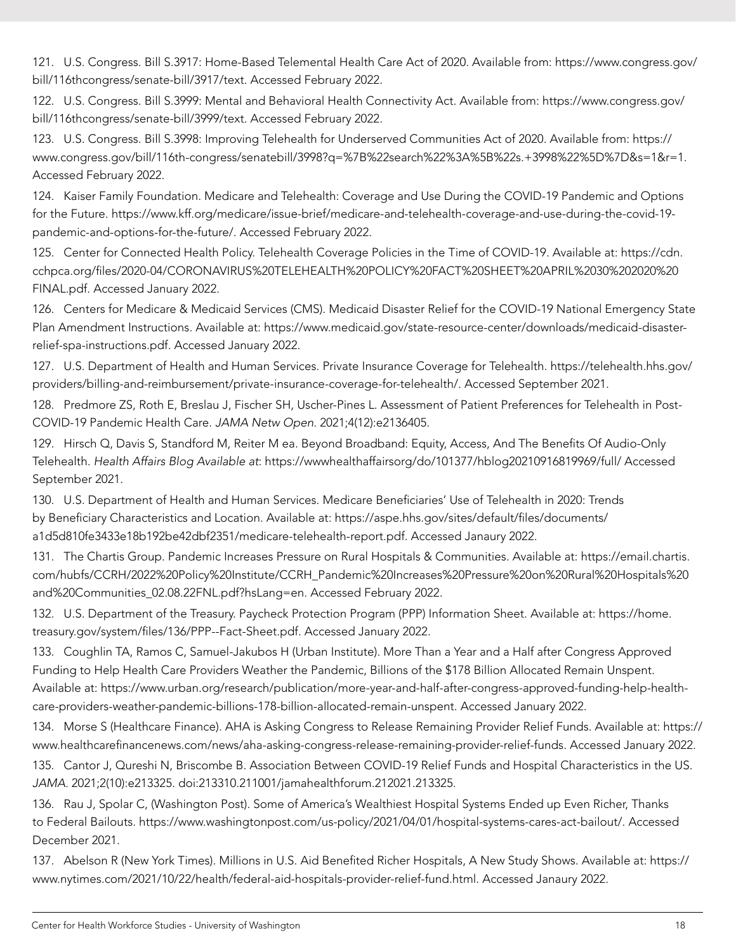121. U.S. Congress. Bill S.3917: Home-Based Telemental Health Care Act of 2020. Available from: [https://www.congress.gov/](https://www.congress.gov/bill/116thcongress/senate-bill/3917/text) [bill/116thcongress/senate-bill/3917/text](https://www.congress.gov/bill/116thcongress/senate-bill/3917/text). Accessed February 2022.

122. U.S. Congress. Bill S.3999: Mental and Behavioral Health Connectivity Act. Available from: [https://www.congress.gov/](https://www.congress.gov/bill/116thcongress/senate-bill/3999/text) [bill/116thcongress/senate-bill/3999/text](https://www.congress.gov/bill/116thcongress/senate-bill/3999/text). Accessed February 2022.

123. U.S. Congress. Bill S.3998: Improving Telehealth for Underserved Communities Act of 2020. Available from: [https://](https://www.congress.gov/bill/116th-congress/senatebill/3998?q=%7B%22search%22%3A%5B%22s.+3998%22%5D%7D&s=1&r=1) [www.congress.gov/bill/116th-congress/senatebill/3998?q=%7B%22search%22%3A%5B%22s.+3998%22%5D%7D&s=1&r=1](https://www.congress.gov/bill/116th-congress/senatebill/3998?q=%7B%22search%22%3A%5B%22s.+3998%22%5D%7D&s=1&r=1). Accessed February 2022.

124. Kaiser Family Foundation. Medicare and Telehealth: Coverage and Use During the COVID-19 Pandemic and Options for the Future. [https://www.kff.org/medicare/issue-brief/medicare-and-telehealth-coverage-and-use-during-the-covid-19](https://www.kff.org/medicare/issue-brief/medicare-and-telehealth-coverage-and-use-during-the-covid-19-pandemic-and-options-for-the-future/) [pandemic-and-options-for-the-future/](https://www.kff.org/medicare/issue-brief/medicare-and-telehealth-coverage-and-use-during-the-covid-19-pandemic-and-options-for-the-future/). Accessed February 2022.

125. Center for Connected Health Policy. Telehealth Coverage Policies in the Time of COVID-19. Available at: [https://cdn.](https://cdn.cchpca.org/files/2020-04/CORONAVIRUS%20TELEHEALTH%20POLICY%20FACT%20SHEET%20APRIL%2030%202020%20FINAL.pdf) [cchpca.org/files/2020-04/CORONAVIRUS%20TELEHEALTH%20POLICY%20FACT%20SHEET%20APRIL%2030%202020%20](https://cdn.cchpca.org/files/2020-04/CORONAVIRUS%20TELEHEALTH%20POLICY%20FACT%20SHEET%20APRIL%2030%202020%20FINAL.pdf) [FINAL.pdf.](https://cdn.cchpca.org/files/2020-04/CORONAVIRUS%20TELEHEALTH%20POLICY%20FACT%20SHEET%20APRIL%2030%202020%20FINAL.pdf) Accessed January 2022.

126. Centers for Medicare & Medicaid Services (CMS). Medicaid Disaster Relief for the COVID-19 National Emergency State Plan Amendment Instructions. Available at: [https://www.medicaid.gov/state-resource-center/downloads/medicaid-disaster](https://www.medicaid.gov/state-resource-center/downloads/medicaid-disaster-relief-spa-instructions.pdf)[relief-spa-instructions.pdf.](https://www.medicaid.gov/state-resource-center/downloads/medicaid-disaster-relief-spa-instructions.pdf) Accessed January 2022.

127. U.S. Department of Health and Human Services. Private Insurance Coverage for Telehealth. [https://telehealth.hhs.gov/](https://telehealth.hhs.gov/providers/billing-and-reimbursement/private-insurance-coverage-for-telehealth/) [providers/billing-and-reimbursement/private-insurance-coverage-for-telehealth/](https://telehealth.hhs.gov/providers/billing-and-reimbursement/private-insurance-coverage-for-telehealth/). Accessed September 2021.

128. Predmore ZS, Roth E, Breslau J, Fischer SH, Uscher-Pines L. Assessment of Patient Preferences for Telehealth in Post-COVID-19 Pandemic Health Care. *JAMA Netw Open*. 2021;4(12):e2136405.

129. Hirsch Q, Davis S, Standford M, Reiter M ea. Beyond Broadband: Equity, Access, And The Benefits Of Audio-Only Telehealth. *Health Affairs Blog Available at*: https://wwwhealthaffairsorg/do/101377/hblog20210916819969/full/ Accessed September 2021.

130. U.S. Department of Health and Human Services. Medicare Beneficiaries' Use of Telehealth in 2020: Trends by Beneficiary Characteristics and Location. Available at: [https://aspe.hhs.gov/sites/default/files/documents/](https://aspe.hhs.gov/sites/default/files/documents/a1d5d810fe3433e18b192be42dbf2351/medicare-telehealth-report.pdf) [a1d5d810fe3433e18b192be42dbf2351/medicare-telehealth-report.pdf.](https://aspe.hhs.gov/sites/default/files/documents/a1d5d810fe3433e18b192be42dbf2351/medicare-telehealth-report.pdf) Accessed Janaury 2022.

131. The Chartis Group. Pandemic Increases Pressure on Rural Hospitals & Communities. Available at: [https://email.chartis.](https://email.chartis.com/hubfs/CCRH/2022%20Policy%20Institute/CCRH_Pandemic%20Increases%20Pressure%20on%20Rural%20Hospitals%20and%20Communities_02.08.22FNL.pdf?hsLang=en) [com/hubfs/CCRH/2022%20Policy%20Institute/CCRH\\_Pandemic%20Increases%20Pressure%20on%20Rural%20Hospitals%20](https://email.chartis.com/hubfs/CCRH/2022%20Policy%20Institute/CCRH_Pandemic%20Increases%20Pressure%20on%20Rural%20Hospitals%20and%20Communities_02.08.22FNL.pdf?hsLang=en) [and%20Communities\\_02.08.22FNL.pdf?hsLang=en](https://email.chartis.com/hubfs/CCRH/2022%20Policy%20Institute/CCRH_Pandemic%20Increases%20Pressure%20on%20Rural%20Hospitals%20and%20Communities_02.08.22FNL.pdf?hsLang=en). Accessed February 2022.

132. U.S. Department of the Treasury. Paycheck Protection Program (PPP) Information Sheet. Available at: [https://home.](https://home.treasury.gov/system/files/136/PPP--Fact-Sheet.pdf) [treasury.gov/system/files/136/PPP--Fact-Sheet.pdf](https://home.treasury.gov/system/files/136/PPP--Fact-Sheet.pdf). Accessed January 2022.

133. Coughlin TA, Ramos C, Samuel-Jakubos H (Urban Institute). More Than a Year and a Half after Congress Approved Funding to Help Health Care Providers Weather the Pandemic, Billions of the \$178 Billion Allocated Remain Unspent. Available at: [https://www.urban.org/research/publication/more-year-and-half-after-congress-approved-funding-help-health](https://www.urban.org/research/publication/more-year-and-half-after-congress-approved-funding-help-health-care-providers-weather-pandemic-billions-178-billion-allocated-remain-unspent)[care-providers-weather-pandemic-billions-178-billion-allocated-remain-unspent](https://www.urban.org/research/publication/more-year-and-half-after-congress-approved-funding-help-health-care-providers-weather-pandemic-billions-178-billion-allocated-remain-unspent). Accessed January 2022.

134. Morse S (Healthcare Finance). AHA is Asking Congress to Release Remaining Provider Relief Funds. Available at: [https://](https://www.healthcarefinancenews.com/news/aha-asking-congress-release-remaining-provider-relief-funds) [www.healthcarefinancenews.com/news/aha-asking-congress-release-remaining-provider-relief-funds](https://www.healthcarefinancenews.com/news/aha-asking-congress-release-remaining-provider-relief-funds). Accessed January 2022.

135. Cantor J, Qureshi N, Briscombe B. Association Between COVID-19 Relief Funds and Hospital Characteristics in the US. *JAMA*. 2021;2(10):e213325. doi:213310.211001/jamahealthforum.212021.213325.

136. Rau J, Spolar C, (Washington Post). Some of America's Wealthiest Hospital Systems Ended up Even Richer, Thanks to Federal Bailouts. [https://www.washingtonpost.com/us-policy/2021/04/01/hospital-systems-cares-act-bailout/.](https://www.washingtonpost.com/us-policy/2021/04/01/hospital-systems-cares-act-bailout/) Accessed December 2021.

137. Abelson R (New York Times). Millions in U.S. Aid Benefited Richer Hospitals, A New Study Shows. Available at: [https://](https://www.nytimes.com/2021/10/22/health/federal-aid-hospitals-provider-relief-fund.html) [www.nytimes.com/2021/10/22/health/federal-aid-hospitals-provider-relief-fund.html](https://www.nytimes.com/2021/10/22/health/federal-aid-hospitals-provider-relief-fund.html). Accessed Janaury 2022.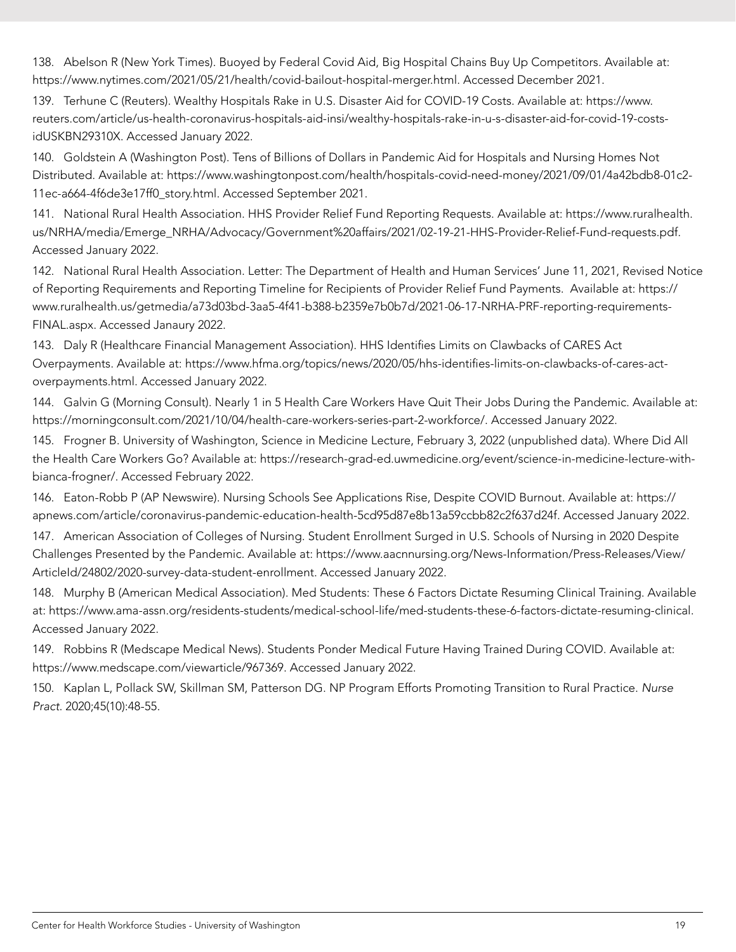138. Abelson R (New York Times). Buoyed by Federal Covid Aid, Big Hospital Chains Buy Up Competitors. Available at: <https://www.nytimes.com/2021/05/21/health/covid-bailout-hospital-merger.html>. Accessed December 2021.

139. Terhune C (Reuters). Wealthy Hospitals Rake in U.S. Disaster Aid for COVID-19 Costs. Available at: [https://www.](https://www.reuters.com/article/us-health-coronavirus-hospitals-aid-insi/wealthy-hospitals-rake-in-u-s-disaster-aid-for-covid-19-costs-idUSKBN29310X) [reuters.com/article/us-health-coronavirus-hospitals-aid-insi/wealthy-hospitals-rake-in-u-s-disaster-aid-for-covid-19-costs](https://www.reuters.com/article/us-health-coronavirus-hospitals-aid-insi/wealthy-hospitals-rake-in-u-s-disaster-aid-for-covid-19-costs-idUSKBN29310X)[idUSKBN29310X](https://www.reuters.com/article/us-health-coronavirus-hospitals-aid-insi/wealthy-hospitals-rake-in-u-s-disaster-aid-for-covid-19-costs-idUSKBN29310X). Accessed January 2022.

140. Goldstein A (Washington Post). Tens of Billions of Dollars in Pandemic Aid for Hospitals and Nursing Homes Not Distributed. Available at: [https://www.washingtonpost.com/health/hospitals-covid-need-money/2021/09/01/4a42bdb8-01c2-](https://www.washingtonpost.com/health/hospitals-covid-need-money/2021/09/01/4a42bdb8-01c2-11ec-a664-4f6de3e17ff0_story.html) [11ec-a664-4f6de3e17ff0\\_story.html](https://www.washingtonpost.com/health/hospitals-covid-need-money/2021/09/01/4a42bdb8-01c2-11ec-a664-4f6de3e17ff0_story.html). Accessed September 2021.

141. National Rural Health Association. HHS Provider Relief Fund Reporting Requests. Available at: [https://www.ruralhealth.](https://www.ruralhealth.us/NRHA/media/Emerge_NRHA/Advocacy/Government%20affairs/2021/02-19-21-HHS-Provider-Relief-Fund-requests.pdf) [us/NRHA/media/Emerge\\_NRHA/Advocacy/Government%20affairs/2021/02-19-21-HHS-Provider-Relief-Fund-requests.pdf](https://www.ruralhealth.us/NRHA/media/Emerge_NRHA/Advocacy/Government%20affairs/2021/02-19-21-HHS-Provider-Relief-Fund-requests.pdf). Accessed January 2022.

142. National Rural Health Association. Letter: The Department of Health and Human Services' June 11, 2021, Revised Notice of Reporting Requirements and Reporting Timeline for Recipients of Provider Relief Fund Payments. Available at: [https://](https://www.ruralhealth.us/getmedia/a73d03bd-3aa5-4f41-b388-b2359e7b0b7d/2021-06-17-NRHA-PRF-reporting-requirements-FINAL.aspx) [www.ruralhealth.us/getmedia/a73d03bd-3aa5-4f41-b388-b2359e7b0b7d/2021-06-17-NRHA-PRF-reporting-requirements-](https://www.ruralhealth.us/getmedia/a73d03bd-3aa5-4f41-b388-b2359e7b0b7d/2021-06-17-NRHA-PRF-reporting-requirements-FINAL.aspx)[FINAL.aspx.](https://www.ruralhealth.us/getmedia/a73d03bd-3aa5-4f41-b388-b2359e7b0b7d/2021-06-17-NRHA-PRF-reporting-requirements-FINAL.aspx) Accessed Janaury 2022.

143. Daly R (Healthcare Financial Management Association). HHS Identifies Limits on Clawbacks of CARES Act Overpayments. Available at: [https://www.hfma.org/topics/news/2020/05/hhs-identifies-limits-on-clawbacks-of-cares-act](https://www.hfma.org/topics/news/2020/05/hhs-identifies-limits-on-clawbacks-of-cares-act-overpayments.html)[overpayments.html](https://www.hfma.org/topics/news/2020/05/hhs-identifies-limits-on-clawbacks-of-cares-act-overpayments.html). Accessed January 2022.

144. Galvin G (Morning Consult). Nearly 1 in 5 Health Care Workers Have Quit Their Jobs During the Pandemic. Available at: [https://morningconsult.com/2021/10/04/health-care-workers-series-part-2-workforce/.](https://morningconsult.com/2021/10/04/health-care-workers-series-part-2-workforce/) Accessed January 2022.

145. Frogner B. University of Washington, Science in Medicine Lecture, February 3, 2022 (unpublished data). Where Did All the Health Care Workers Go? Available at: [https://research-grad-ed.uwmedicine.org/event/science-in-medicine-lecture-with](https://research-grad-ed.uwmedicine.org/event/science-in-medicine-lecture-with-bianca-frogner/)[bianca-frogner/.](https://research-grad-ed.uwmedicine.org/event/science-in-medicine-lecture-with-bianca-frogner/) Accessed February 2022.

146. Eaton-Robb P (AP Newswire). Nursing Schools See Applications Rise, Despite COVID Burnout. Available at: [https://](https://apnews.com/article/coronavirus-pandemic-education-health-5cd95d87e8b13a59ccbb82c2f637d24f) [apnews.com/article/coronavirus-pandemic-education-health-5cd95d87e8b13a59ccbb82c2f637d24f.](https://apnews.com/article/coronavirus-pandemic-education-health-5cd95d87e8b13a59ccbb82c2f637d24f) Accessed January 2022.

147. American Association of Colleges of Nursing. Student Enrollment Surged in U.S. Schools of Nursing in 2020 Despite Challenges Presented by the Pandemic. Available at: [https://www.aacnnursing.org/News-Information/Press-Releases/View/](https://www.aacnnursing.org/News-Information/Press-Releases/View/ArticleId/24802/2020-survey-data-student-enrollment) [ArticleId/24802/2020-survey-data-student-enrollment](https://www.aacnnursing.org/News-Information/Press-Releases/View/ArticleId/24802/2020-survey-data-student-enrollment). Accessed January 2022.

148. Murphy B (American Medical Association). Med Students: These 6 Factors Dictate Resuming Clinical Training. Available at: [https://www.ama-assn.org/residents-students/medical-school-life/med-students-these-6-factors-dictate-resuming-clinical.](https://www.ama-assn.org/residents-students/medical-school-life/med-students-these-6-factors-dictate-resuming-clinical) Accessed January 2022.

149. Robbins R (Medscape Medical News). Students Ponder Medical Future Having Trained During COVID. Available at: <https://www.medscape.com/viewarticle/967369>. Accessed January 2022.

150. Kaplan L, Pollack SW, Skillman SM, Patterson DG. NP Program Efforts Promoting Transition to Rural Practice. *Nurse Pract*. 2020;45(10):48-55.